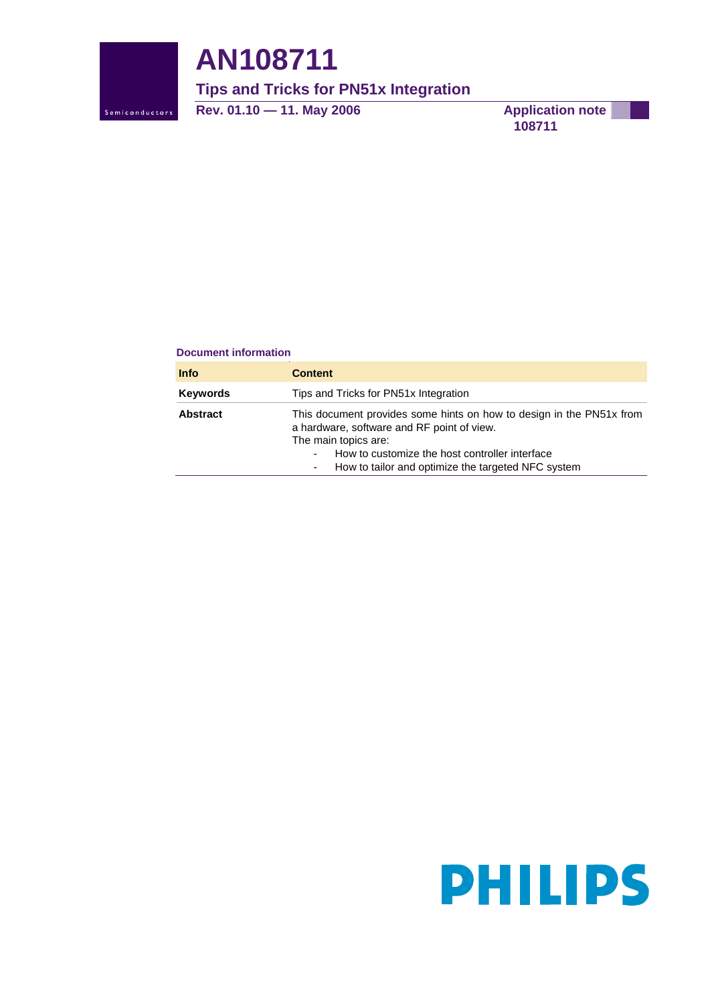

# **AN108711**

**Tips and Tricks for PN51x Integration** 

**Rev. 01.10 — 11. May 2006** Application note

**108711**

#### **Document information**

| <b>Info</b>     | <b>Content</b>                                                                                                                                                                                                                                     |
|-----------------|----------------------------------------------------------------------------------------------------------------------------------------------------------------------------------------------------------------------------------------------------|
| Keywords        | Tips and Tricks for PN51x Integration                                                                                                                                                                                                              |
| <b>Abstract</b> | This document provides some hints on how to design in the PN51x from<br>a hardware, software and RF point of view.<br>The main topics are:<br>How to customize the host controller interface<br>How to tailor and optimize the targeted NFC system |

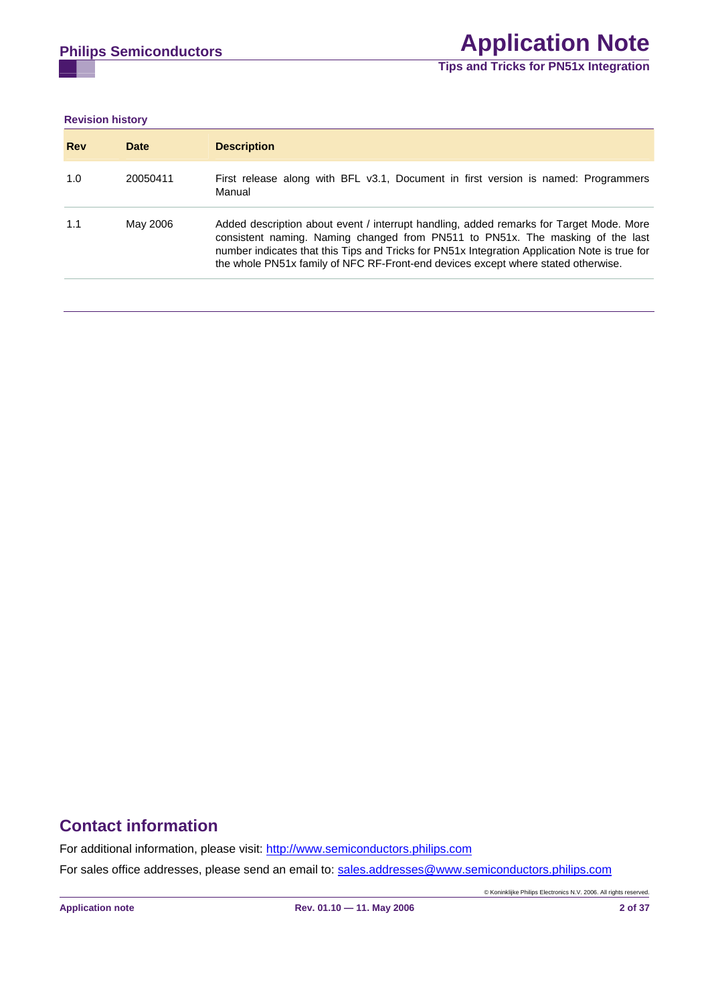**Revision history** 

| <b>Rev</b> | <b>Date</b> | <b>Description</b>                                                                                                                                                                                                                                                                                                                                              |
|------------|-------------|-----------------------------------------------------------------------------------------------------------------------------------------------------------------------------------------------------------------------------------------------------------------------------------------------------------------------------------------------------------------|
| 1.0        | 20050411    | First release along with BFL v3.1, Document in first version is named: Programmers<br>Manual                                                                                                                                                                                                                                                                    |
| 1.1        | May 2006    | Added description about event / interrupt handling, added remarks for Target Mode. More<br>consistent naming. Naming changed from PN511 to PN51x. The masking of the last<br>number indicates that this Tips and Tricks for PN51x Integration Application Note is true for<br>the whole PN51x family of NFC RF-Front-end devices except where stated otherwise. |

# **Contact information**

For additional information, please visit: http://www.semiconductors.philips.com For sales office addresses, please send an email to: sales.addresses@www.semiconductors.philips.com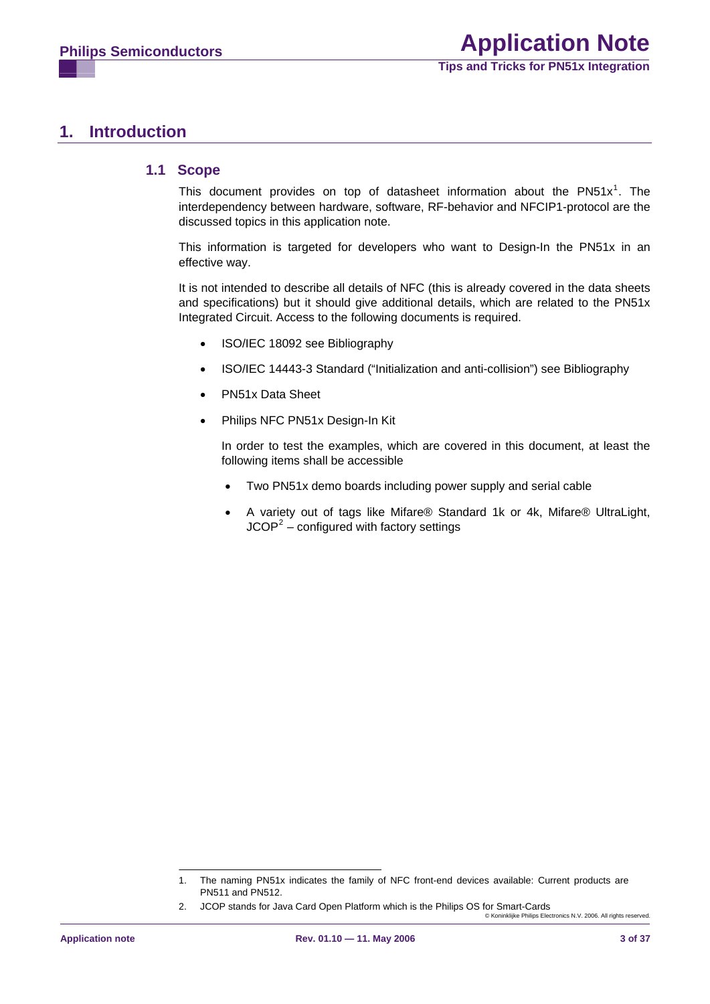# <span id="page-2-2"></span>**1. Introduction**

#### **1.1 Scope**

This document provides on top of datasheet information about the  $PN51x^1$  $PN51x^1$  $PN51x^1$ . The interdependency between hardware, software, RF-behavior and NFCIP1-protocol are the discussed topics in this application note.

This information is targeted for developers who want to Design-In the PN51x in an effective way.

It is not intended to describe all details of NFC (this is already covered in the data sheets and specifications) but it should give additional details, which are related to the PN51x Integrated Circuit. Access to the following documents is required.

- ISO/IEC 18092 see [Bibliography](#page-34-0)
- ISO/IEC 14443-3 Standard ("Initialization and anti-collision") see [Bibliography](#page-34-0)
- PN51x Data Sheet
- Philips NFC PN51x Design-In Kit

In order to test the examples, which are covered in this document, at least the following items shall be accessible

- Two PN51x demo boards including power supply and serial cable
- A variety out of tags like Mifare® Standard 1k or 4k, Mifare® UltraLight,  $JCOP<sup>2</sup>$  $JCOP<sup>2</sup>$  $JCOP<sup>2</sup>$  – configured with factory settings

<span id="page-2-0"></span><sup>1.</sup> The naming PN51x indicates the family of NFC front-end devices available: Current products are PN511 and PN512.

<span id="page-2-1"></span><sup>2.</sup> JCOP stands for Java Card Open Platform which is the Philips OS for Smart-Cards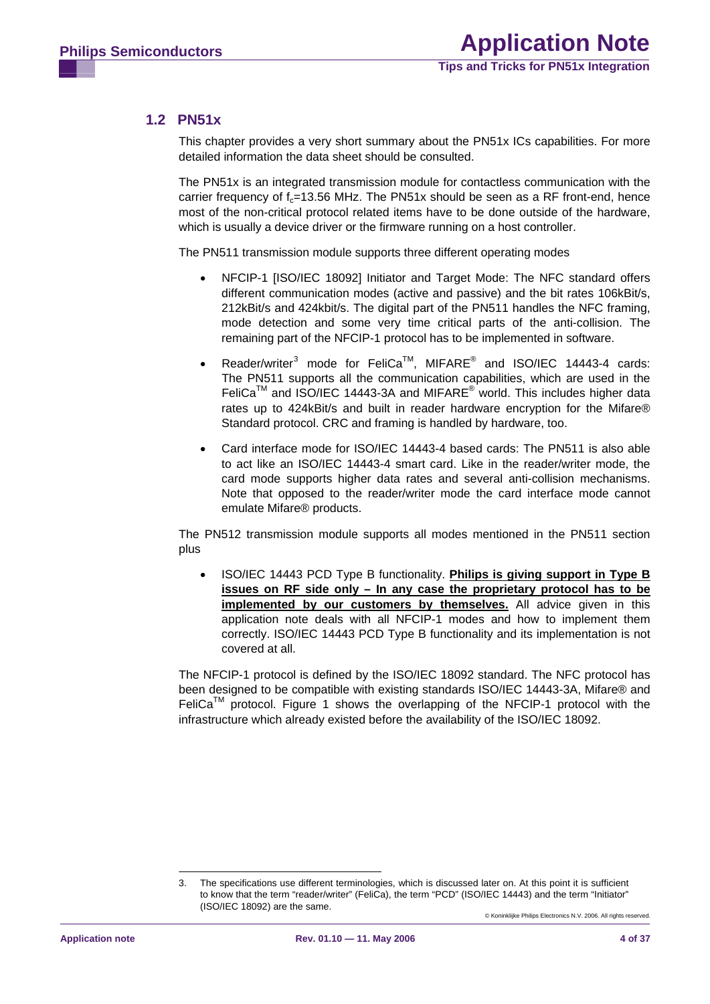## <span id="page-3-1"></span>**1.2 PN51x**

This chapter provides a very short summary about the PN51x ICs capabilities. For more detailed information the data sheet should be consulted.

The PN51x is an integrated transmission module for contactless communication with the carrier frequency of  $f<sub>z</sub>=13.56$  MHz. The PN51x should be seen as a RF front-end, hence most of the non-critical protocol related items have to be done outside of the hardware, which is usually a device driver or the firmware running on a host controller.

The PN511 transmission module supports three different operating modes

- NFCIP-1 [[ISO/IEC 18092\]](#page-4-0) Initiator and Target Mode: The NFC standard offers different communication modes (active and passive) and the bit rates 106kBit/s, 212kBit/s and 424kbit/s. The digital part of the PN511 handles the NFC framing, mode detection and some very time critical parts of the anti-collision. The remaining part of the NFCIP-1 protocol has to be implemented in software.
- Reader/writer<sup>[3](#page-3-0)</sup> mode for FeliCa<sup>TM</sup>, MIFARE<sup>®</sup> and ISO/IEC 14443-4 cards: The PN511 supports all the communication capabilities, which are used in the  $FeliCa^{TM}$  and ISO/IEC 14443-3A and MIFARE<sup>®</sup> world. This includes higher data rates up to 424kBit/s and built in reader hardware encryption for the Mifare® Standard protocol. CRC and framing is handled by hardware, too.
- Card interface mode for ISO/IEC 14443-4 based cards: The PN511 is also able to act like an ISO/IEC 14443-4 smart card. Like in the reader/writer mode, the card mode supports higher data rates and several anti-collision mechanisms. Note that opposed to the reader/writer mode the card interface mode cannot emulate Mifare® products.

The PN512 transmission module supports all modes mentioned in the PN511 section plus

• ISO/IEC 14443 PCD Type B functionality. **Philips is giving support in Type B issues on RF side only – In any case the proprietary protocol has to be implemented by our customers by themselves.** All advice given in this application note deals with all NFCIP-1 modes and how to implement them correctly. ISO/IEC 14443 PCD Type B functionality and its implementation is not covered at all.

The NFCIP-1 protocol is defined by the ISO/IEC 18092 standard. The NFC protocol has been designed to be compatible with existing standards ISO/IEC 14443-3A, Mifare® and FeliCa<sup>™</sup> protocol. [Figure 1](#page-4-1) shows the overlapping of the NFCIP-1 protocol with the infrastructure which already existed before the availability of the ISO/IEC 18092.

<span id="page-3-0"></span><sup>3.</sup> The specifications use different terminologies, which is discussed later on. At this point it is sufficient to know that the term "reader/writer" (FeliCa), the term "PCD" (ISO/IEC 14443) and the term "Initiator" (ISO/IEC 18092) are the same.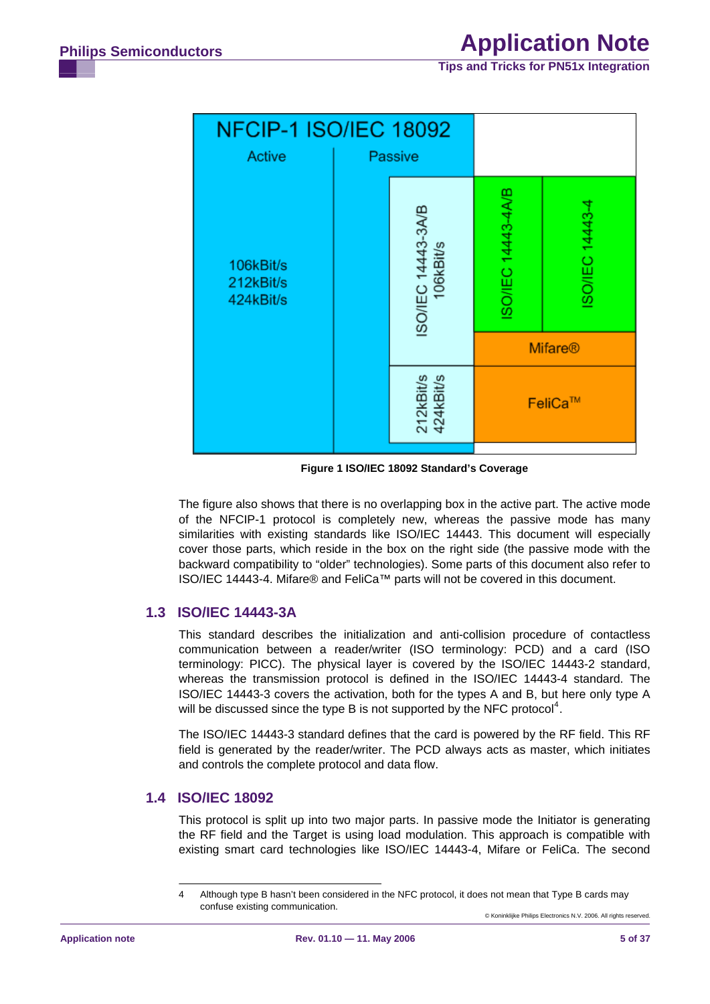**Tips and Tricks for PN51x Integration**

<span id="page-4-3"></span>

**Figure 1 ISO/IEC 18092 Standard's Coverage** 

<span id="page-4-1"></span>The figure also shows that there is no overlapping box in the active part. The active mode of the NFCIP-1 protocol is completely new, whereas the passive mode has many similarities with existing standards like ISO/IEC 14443. This document will especially cover those parts, which reside in the box on the right side (the passive mode with the backward compatibility to "older" technologies). Some parts of this document also refer to ISO/IEC 14443-4. Mifare® and FeliCa™ parts will not be covered in this document.

## **1.3 ISO/IEC 14443-3A**

This standard describes the initialization and anti-collision procedure of contactless communication between a reader/writer (ISO terminology: PCD) and a card (ISO terminology: PICC). The physical layer is covered by the ISO/IEC 14443-2 standard, whereas the transmission protocol is defined in the ISO/IEC 14443-4 standard. The ISO/IEC 14443-3 covers the activation, both for the types A and B, but here only type A will be discussed since the type B is not supported by the NFC protocol<sup>[4](#page-4-2)</sup>.

The ISO/IEC 14443-3 standard defines that the card is powered by the RF field. This RF field is generated by the reader/writer. The PCD always acts as master, which initiates and controls the complete protocol and data flow.

## <span id="page-4-2"></span><span id="page-4-0"></span>**1.4 ISO/IEC 18092**

This protocol is split up into two major parts. In passive mode the Initiator is generating the RF field and the Target is using load modulation. This approach is compatible with existing smart card technologies like ISO/IEC 14443-4, Mifare or FeliCa. The second

<sup>4</sup> Although type B hasn't been considered in the NFC protocol, it does not mean that Type B cards may confuse existing communication.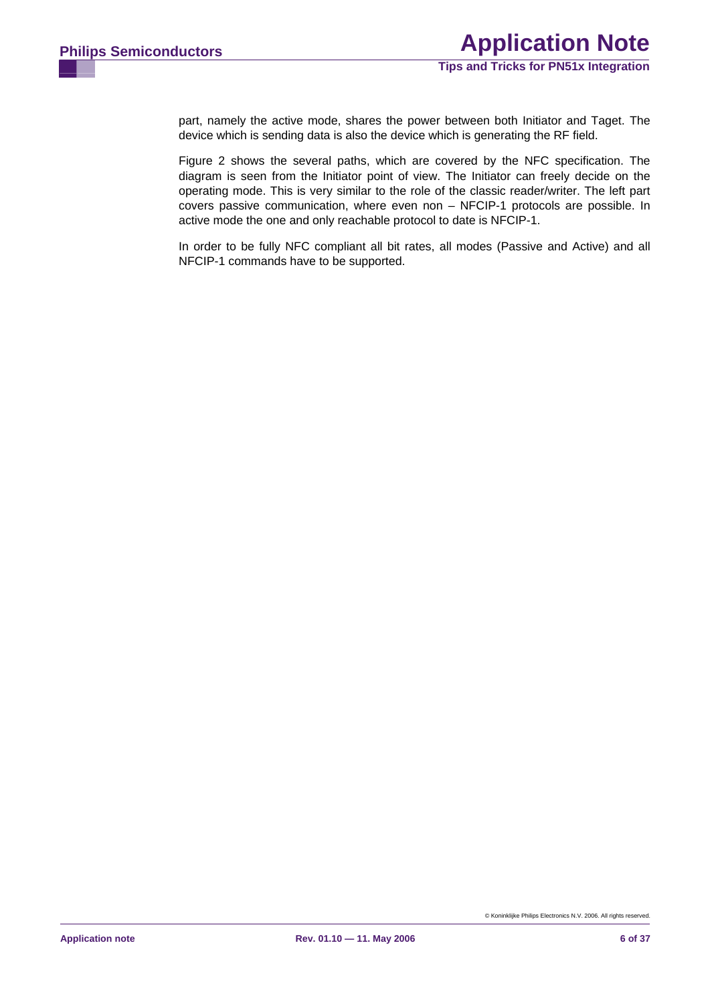part, namely the active mode, shares the power between both Initiator and Taget. The device which is sending data is also the device which is generating the RF field.

[Figure 2](#page-6-0) shows the several paths, which are covered by the NFC specification. The diagram is seen from the Initiator point of view. The Initiator can freely decide on the operating mode. This is very similar to the role of the classic reader/writer. The left part covers passive communication, where even non – NFCIP-1 protocols are possible. In active mode the one and only reachable protocol to date is NFCIP-1.

In order to be fully NFC compliant all bit rates, all modes (Passive and Active) and all NFCIP-1 commands have to be supported.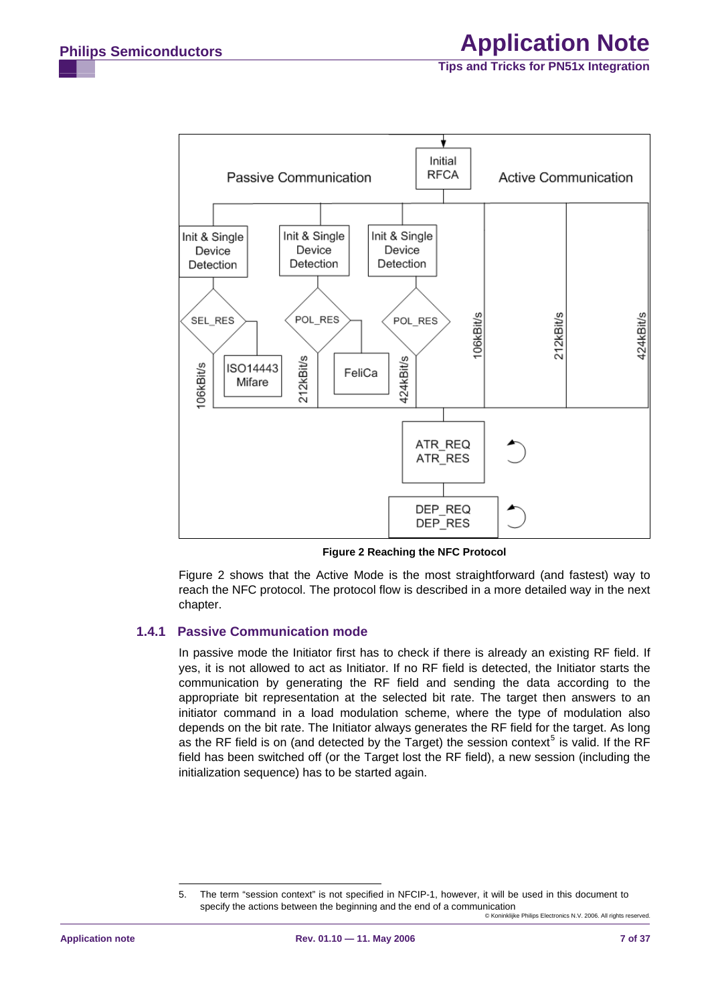<span id="page-6-2"></span>

**Figure 2 Reaching the NFC Protocol** 

[Figure 2](#page-6-0) shows that the Active Mode is the most straightforward (and fastest) way to reach the NFC protocol. The protocol flow is described in a more detailed way in the next chapter.

#### <span id="page-6-0"></span>**1.4.1 Passive Communication mode**

In passive mode the Initiator first has to check if there is already an existing RF field. If yes, it is not allowed to act as Initiator. If no RF field is detected, the Initiator starts the communication by generating the RF field and sending the data according to the appropriate bit representation at the selected bit rate. The target then answers to an initiator command in a load modulation scheme, where the type of modulation also depends on the bit rate. The Initiator always generates the RF field for the target. As long as the RF field is on (and detected by the Target) the session context<sup>[5](#page-6-1)</sup> is valid. If the RF field has been switched off (or the Target lost the RF field), a new session (including the initialization sequence) has to be started again.

<span id="page-6-1"></span><sup>©</sup> Koninklijke Philips Electronics N.V. 2006. All rights reserved. 5. The term "session context" is not specified in NFCIP-1, however, it will be used in this document to specify the actions between the beginning and the end of a communication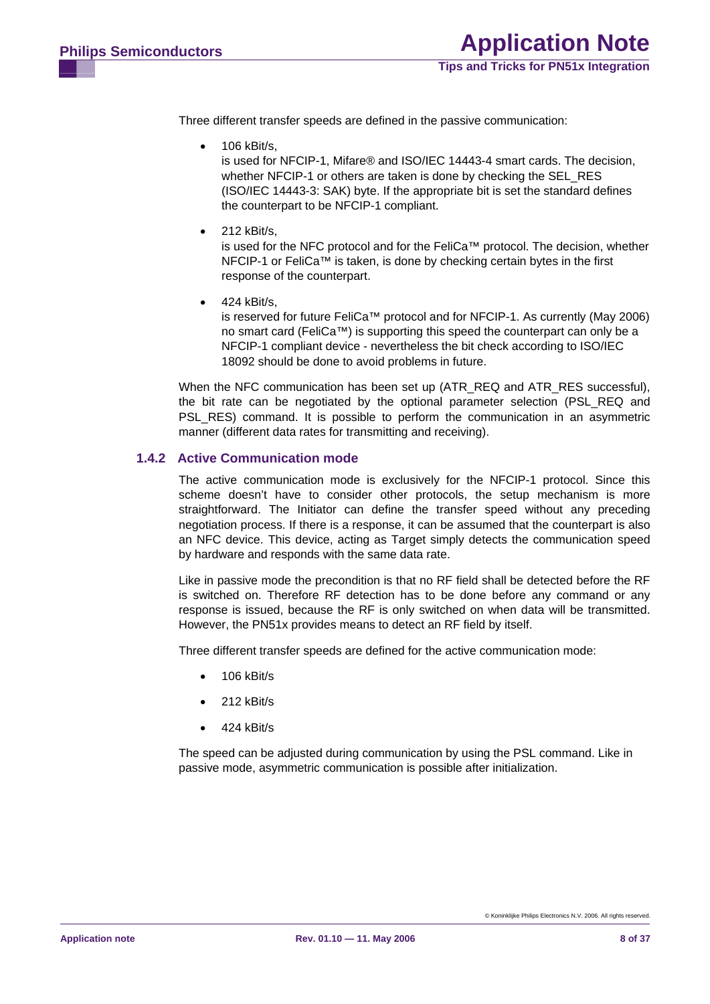<span id="page-7-0"></span>Three different transfer speeds are defined in the passive communication:

- 106 kBit/s, is used for NFCIP-1, Mifare® and ISO/IEC 14443-4 smart cards. The decision, whether NFCIP-1 or others are taken is done by checking the SEL\_RES (ISO/IEC 14443-3: SAK) byte. If the appropriate bit is set the standard defines the counterpart to be NFCIP-1 compliant.
- 212 kBit/s, is used for the NFC protocol and for the FeliCa™ protocol. The decision, whether NFCIP-1 or FeliCa™ is taken, is done by checking certain bytes in the first response of the counterpart.
- $\bullet$  424 kBit/s.

is reserved for future FeliCa™ protocol and for NFCIP-1. As currently (May 2006) no smart card (FeliCa™) is supporting this speed the counterpart can only be a NFCIP-1 compliant device - nevertheless the bit check according to ISO/IEC 18092 should be done to avoid problems in future.

When the NFC communication has been set up (ATR\_REQ and ATR\_RES successful), the bit rate can be negotiated by the optional parameter selection (PSL\_REQ and PSL RES) command. It is possible to perform the communication in an asymmetric manner (different data rates for transmitting and receiving).

#### **1.4.2 Active Communication mode**

The active communication mode is exclusively for the NFCIP-1 protocol. Since this scheme doesn't have to consider other protocols, the setup mechanism is more straightforward. The Initiator can define the transfer speed without any preceding negotiation process. If there is a response, it can be assumed that the counterpart is also an NFC device. This device, acting as Target simply detects the communication speed by hardware and responds with the same data rate.

Like in passive mode the precondition is that no RF field shall be detected before the RF is switched on. Therefore RF detection has to be done before any command or any response is issued, because the RF is only switched on when data will be transmitted. However, the PN51x provides means to detect an RF field by itself.

Three different transfer speeds are defined for the active communication mode:

- 106 kBit/s
- 212 kBit/s
- 424 kBit/s

The speed can be adjusted during communication by using the PSL command. Like in passive mode, asymmetric communication is possible after initialization.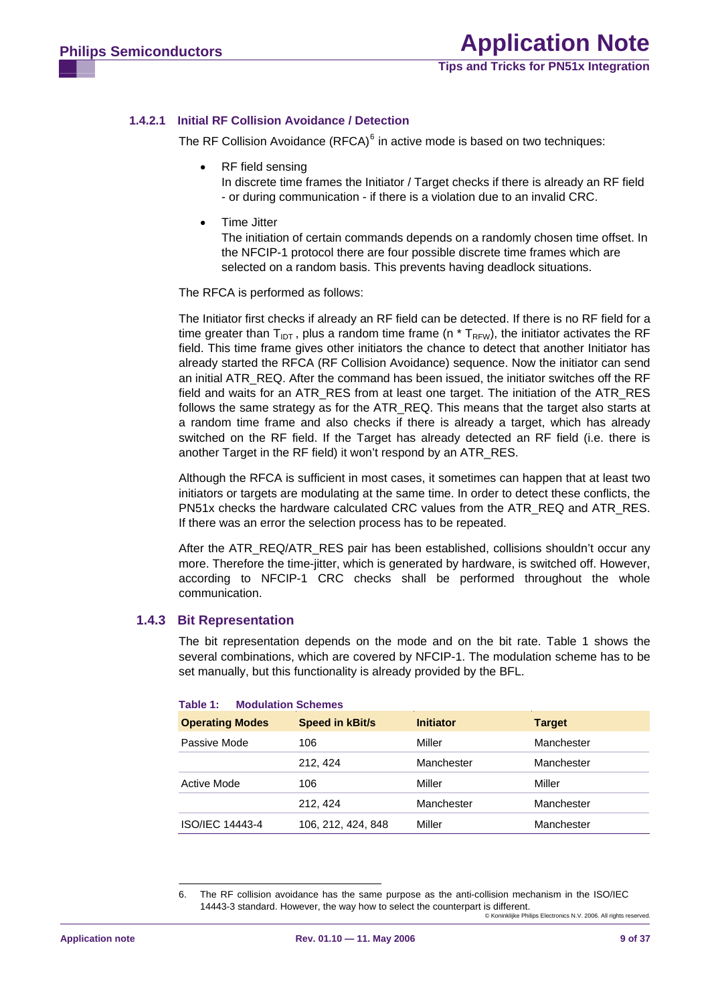#### <span id="page-8-1"></span>**1.4.2.1 Initial RF Collision Avoidance / Detection**

The RF Collision Avoidance  $(RFCA)^6$  $(RFCA)^6$  in active mode is based on two techniques:

• RF field sensing

In discrete time frames the Initiator / Target checks if there is already an RF field - or during communication - if there is a violation due to an invalid CRC.

• Time Jitter

The initiation of certain commands depends on a randomly chosen time offset. In the NFCIP-1 protocol there are four possible discrete time frames which are selected on a random basis. This prevents having deadlock situations.

The RFCA is performed as follows:

The Initiator first checks if already an RF field can be detected. If there is no RF field for a time greater than  $T_{\text{DT}}$ , plus a random time frame (n  $*$  T<sub>RFW</sub>), the initiator activates the RF field. This time frame gives other initiators the chance to detect that another Initiator has already started the RFCA (RF Collision Avoidance) sequence. Now the initiator can send an initial ATR, REQ. After the command has been issued, the initiator switches off the RF field and waits for an ATR\_RES from at least one target. The initiation of the ATR\_RES follows the same strategy as for the ATR\_REQ. This means that the target also starts at a random time frame and also checks if there is already a target, which has already switched on the RF field. If the Target has already detected an RF field (i.e. there is another Target in the RF field) it won't respond by an ATR\_RES.

Although the RFCA is sufficient in most cases, it sometimes can happen that at least two initiators or targets are modulating at the same time. In order to detect these conflicts, the PN51x checks the hardware calculated CRC values from the ATR\_REQ and ATR\_RES. If there was an error the selection process has to be repeated.

After the ATR\_REQ/ATR\_RES pair has been established, collisions shouldn't occur any more. Therefore the time-jitter, which is generated by hardware, is switched off. However, according to NFCIP-1 CRC checks shall be performed throughout the whole communication.

#### **1.4.3 Bit Representation**

The bit representation depends on the mode and on the bit rate. Table 1 shows the several combinations, which are covered by NFCIP-1. The modulation scheme has to be set manually, but this functionality is already provided by the BFL.

| $1$ Givits $1$ .<br><b>INDUBIRUM DUITERING</b> |                        |                  |               |  |  |  |
|------------------------------------------------|------------------------|------------------|---------------|--|--|--|
| <b>Operating Modes</b>                         | <b>Speed in kBit/s</b> | <b>Initiator</b> | <b>Target</b> |  |  |  |
| Passive Mode                                   | 106                    | Miller           | Manchester    |  |  |  |
|                                                | 212, 424               | Manchester       | Manchester    |  |  |  |
| Active Mode                                    | 106                    | Miller           | Miller        |  |  |  |
|                                                | 212, 424               | Manchester       | Manchester    |  |  |  |
| ISO/IEC 14443-4                                | 106, 212, 424, 848     | Miller           | Manchester    |  |  |  |

#### **Table 1: Modulation Schemes**

<span id="page-8-0"></span><sup>6.</sup> The RF collision avoidance has the same purpose as the anti-collision mechanism in the ISO/IEC 14443-3 standard. However, the way how to select the counterpart is different.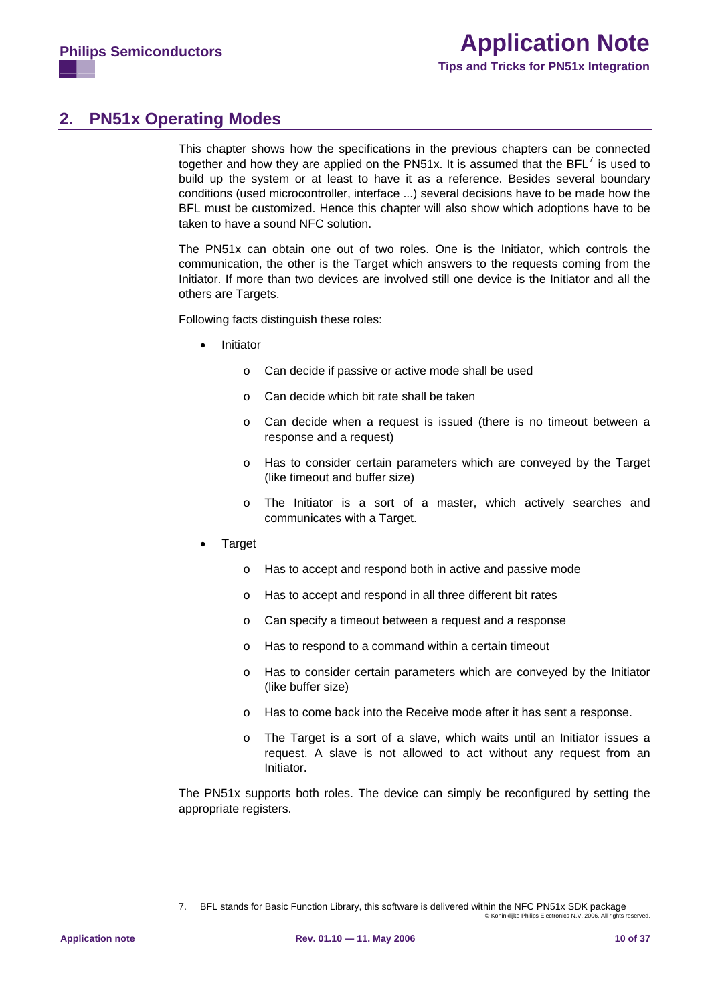# <span id="page-9-1"></span>**2. PN51x Operating Modes**

This chapter shows how the specifications in the previous chapters can be connected together and how they are applied on the PN51x. It is assumed that the BFL<sup>[7](#page-9-0)</sup> is used to build up the system or at least to have it as a reference. Besides several boundary conditions (used microcontroller, interface ...) several decisions have to be made how the BFL must be customized. Hence this chapter will also show which adoptions have to be taken to have a sound NFC solution.

The PN51x can obtain one out of two roles. One is the Initiator, which controls the communication, the other is the Target which answers to the requests coming from the Initiator. If more than two devices are involved still one device is the Initiator and all the others are Targets.

Following facts distinguish these roles:

- **Initiator** 
	- o Can decide if passive or active mode shall be used
	- o Can decide which bit rate shall be taken
	- o Can decide when a request is issued (there is no timeout between a response and a request)
	- o Has to consider certain parameters which are conveyed by the Target (like timeout and buffer size)
	- o The Initiator is a sort of a master, which actively searches and communicates with a Target.
- **Target** 
	- o Has to accept and respond both in active and passive mode
	- o Has to accept and respond in all three different bit rates
	- o Can specify a timeout between a request and a response
	- o Has to respond to a command within a certain timeout
	- o Has to consider certain parameters which are conveyed by the Initiator (like buffer size)
	- o Has to come back into the Receive mode after it has sent a response.
	- o The Target is a sort of a slave, which waits until an Initiator issues a request. A slave is not allowed to act without any request from an Initiator.

The PN51x supports both roles. The device can simply be reconfigured by setting the appropriate registers.

<span id="page-9-0"></span><sup>©</sup> Koninklijke Philips Electronics N.V. 2006. All rights reserved. 7. BFL stands for Basic Function Library, this software is delivered within the NFC PN51x SDK package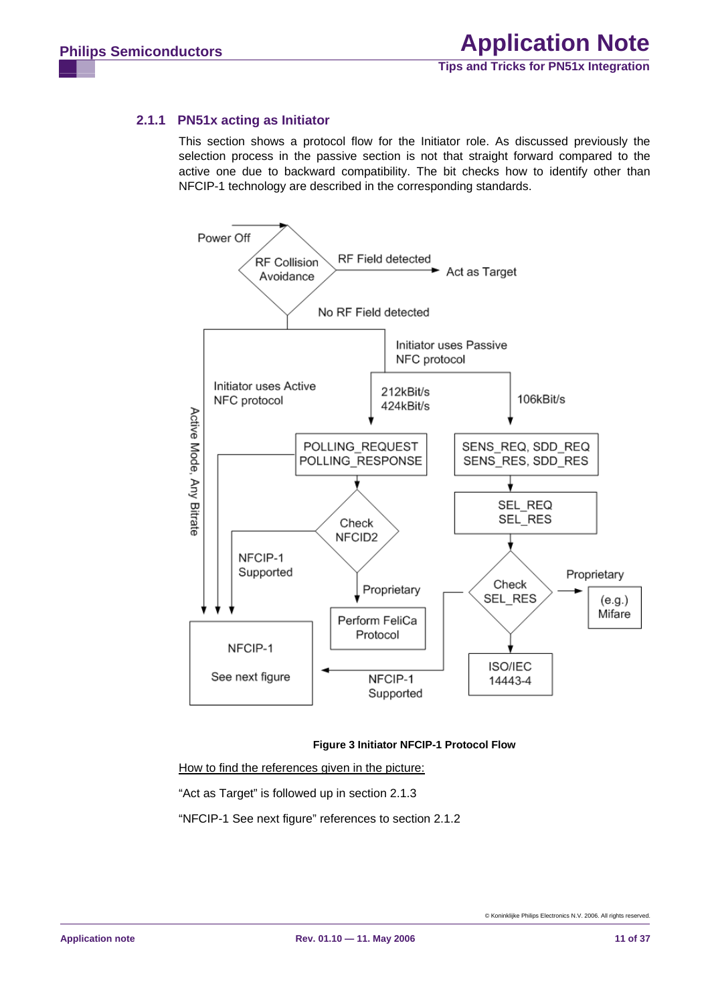## <span id="page-10-1"></span>**2.1.1 PN51x acting as Initiator**

This section shows a protocol flow for the Initiator role. As discussed previously the selection process in the passive section is not that straight forward compared to the active one due to backward compatibility. The bit checks how to identify other than NFCIP-1 technology are described in the corresponding standards.



#### **Figure 3 Initiator NFCIP-1 Protocol Flow**

<span id="page-10-0"></span>How to find the references given in the picture: "Act as Target" is followed up in section [2.1.3](#page-14-0)  "NFCIP-1 See next figure" references to section [2.1.2](#page-12-0)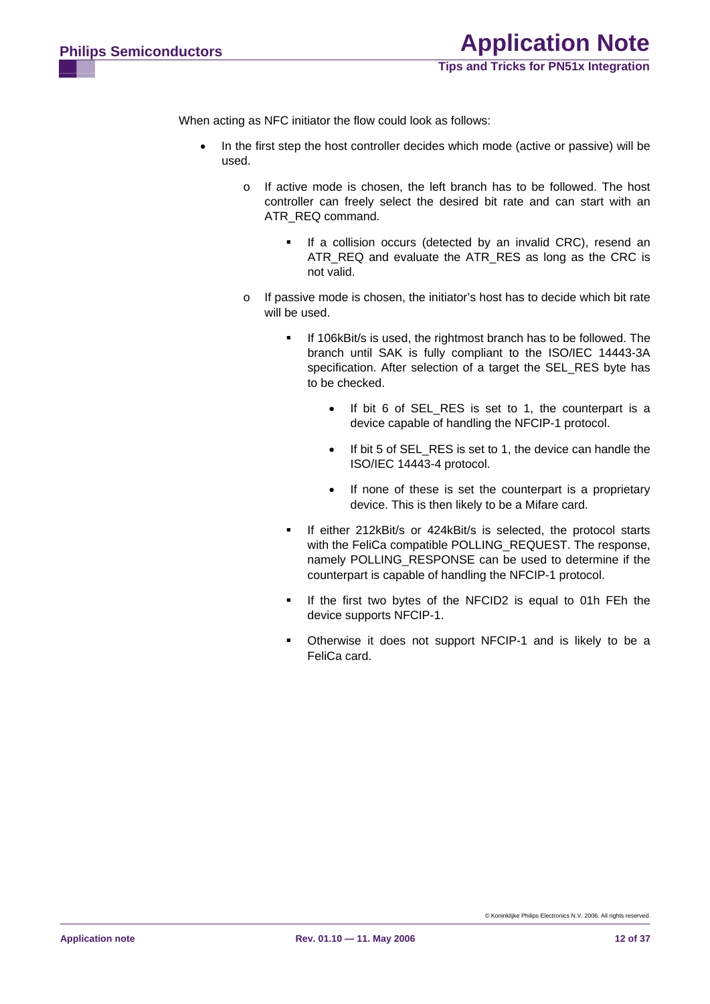When acting as NFC initiator the flow could look as follows:

- In the first step the host controller decides which mode (active or passive) will be used.
	- o If active mode is chosen, the left branch has to be followed. The host controller can freely select the desired bit rate and can start with an ATR\_REQ command.
		- **If a collision occurs (detected by an invalid CRC), resend an** ATR\_REQ and evaluate the ATR\_RES as long as the CRC is not valid.
	- o If passive mode is chosen, the initiator's host has to decide which bit rate will be used.
		- If 106kBit/s is used, the rightmost branch has to be followed. The branch until SAK is fully compliant to the ISO/IEC 14443-3A specification. After selection of a target the SEL\_RES byte has to be checked.
			- If bit 6 of SEL\_RES is set to 1, the counterpart is a device capable of handling the NFCIP-1 protocol.
			- If bit 5 of SEL\_RES is set to 1, the device can handle the ISO/IEC 14443-4 protocol.
			- If none of these is set the counterpart is a proprietary device. This is then likely to be a Mifare card.
		- **If either 212kBit/s or 424kBit/s is selected, the protocol starts** with the FeliCa compatible POLLING REQUEST. The response, namely POLLING\_RESPONSE can be used to determine if the counterpart is capable of handling the NFCIP-1 protocol.
		- If the first two bytes of the NFCID2 is equal to 01h FEh the device supports NFCIP-1.
		- Otherwise it does not support NFCIP-1 and is likely to be a FeliCa card.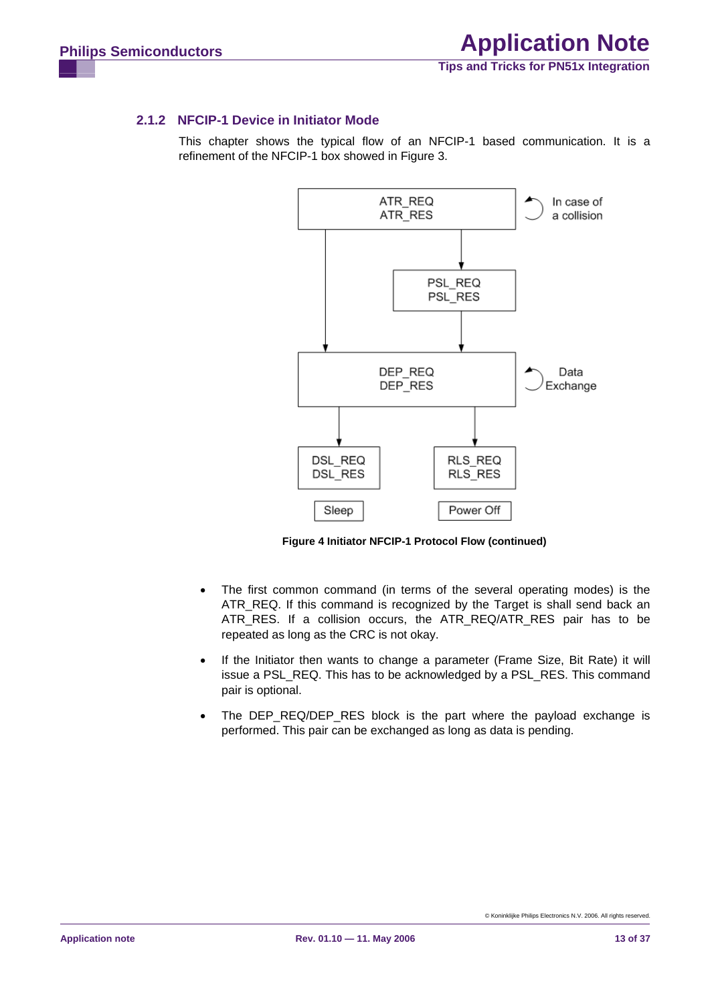#### <span id="page-12-1"></span><span id="page-12-0"></span>**2.1.2 NFCIP-1 Device in Initiator Mode**

This chapter shows the typical flow of an NFCIP-1 based communication. It is a refinement of the NFCIP-1 box showed in [Figure 3.](#page-10-0)



**Figure 4 Initiator NFCIP-1 Protocol Flow (continued)** 

- The first common command (in terms of the several operating modes) is the ATR\_REQ. If this command is recognized by the Target is shall send back an ATR\_RES. If a collision occurs, the ATR\_REQ/ATR\_RES pair has to be repeated as long as the CRC is not okay.
- If the Initiator then wants to change a parameter (Frame Size, Bit Rate) it will issue a PSL\_REQ. This has to be acknowledged by a PSL\_RES. This command pair is optional.
- The DEP REQ/DEP RES block is the part where the payload exchange is performed. This pair can be exchanged as long as data is pending.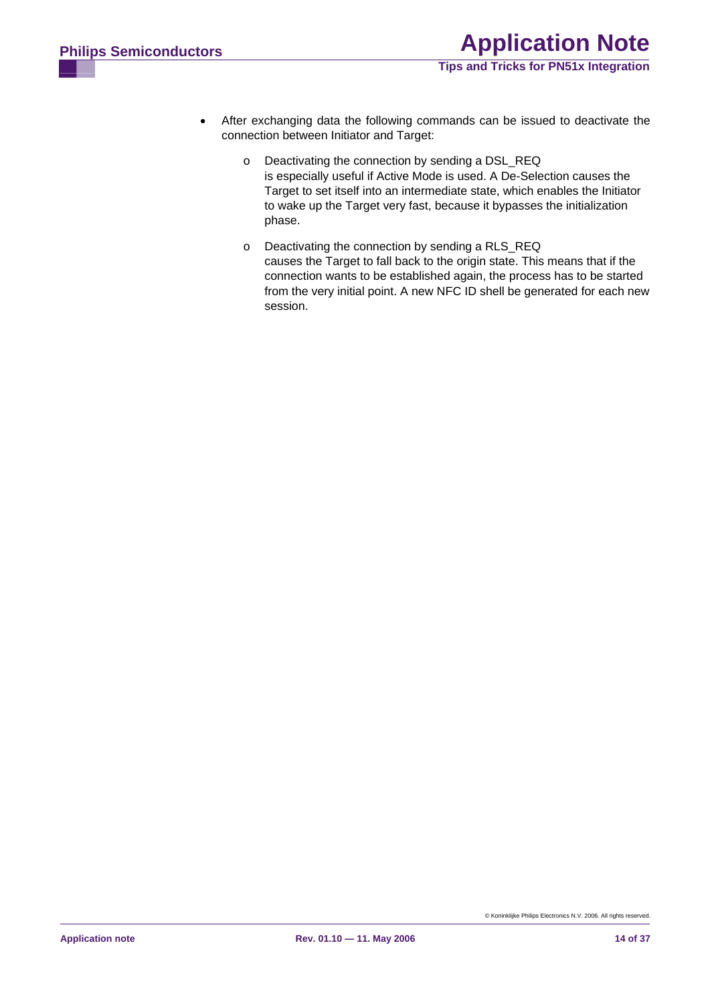- After exchanging data the following commands can be issued to deactivate the connection between Initiator and Target:
	- o Deactivating the connection by sending a DSL\_REQ is especially useful if Active Mode is used. A De-Selection causes the Target to set itself into an intermediate state, which enables the Initiator to wake up the Target very fast, because it bypasses the initialization phase.
	- o Deactivating the connection by sending a RLS\_REQ causes the Target to fall back to the origin state. This means that if the connection wants to be established again, the process has to be started from the very initial point. A new NFC ID shell be generated for each new session.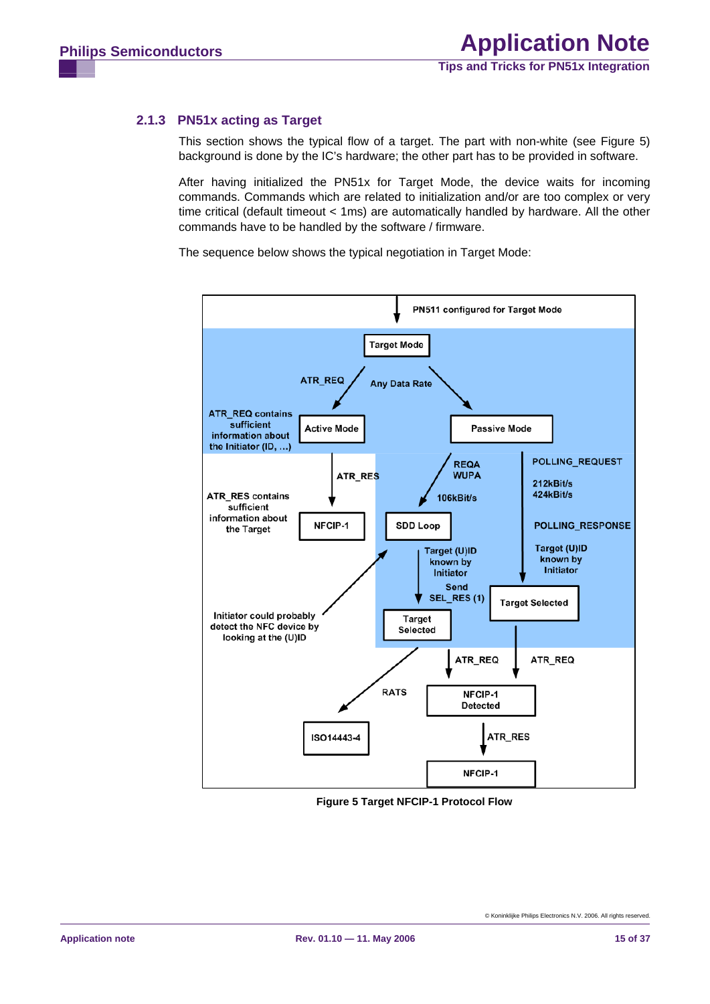## <span id="page-14-2"></span><span id="page-14-0"></span>**2.1.3 PN51x acting as Target**

This section shows the typical flow of a target. The part with non-white (see [Figure 5](#page-14-1)) background is done by the IC's hardware; the other part has to be provided in software.

After having initialized the PN51x for Target Mode, the device waits for incoming commands. Commands which are related to initialization and/or are too complex or very time critical (default timeout < 1ms) are automatically handled by hardware. All the other commands have to be handled by the software / firmware.

The sequence below shows the typical negotiation in Target Mode:



<span id="page-14-1"></span>**Figure 5 Target NFCIP-1 Protocol Flow**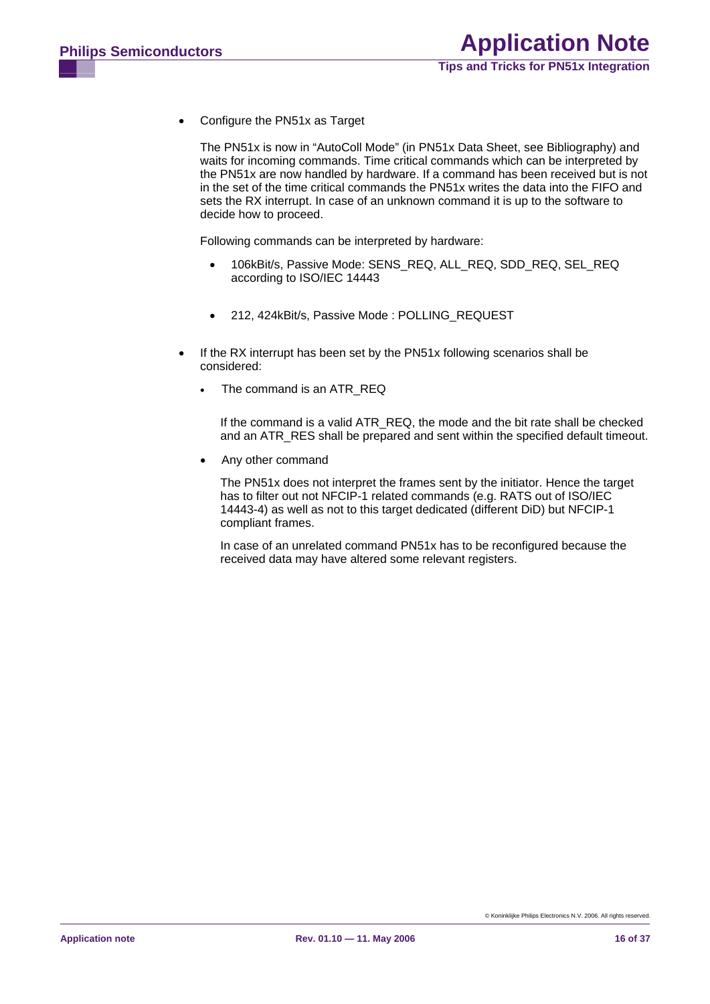• Configure the PN51x as Target

The PN51x is now in "AutoColl Mode" (in PN51x Data Sheet, see [Bibliography\)](#page-34-0) and waits for incoming commands. Time critical commands which can be interpreted by the PN51x are now handled by hardware. If a command has been received but is not in the set of the time critical commands the PN51x writes the data into the FIFO and sets the RX interrupt. In case of an unknown command it is up to the software to decide how to proceed.

Following commands can be interpreted by hardware:

- 106kBit/s, Passive Mode: SENS\_REQ, ALL\_REQ, SDD\_REQ, SEL\_REQ according to ISO/IEC 14443
- 212, 424kBit/s, Passive Mode : POLLING\_REQUEST
- If the RX interrupt has been set by the PN51x following scenarios shall be considered:
	- The command is an ATR\_REQ

If the command is a valid ATR\_REQ, the mode and the bit rate shall be checked and an ATR\_RES shall be prepared and sent within the specified default timeout.

• Any other command

The PN51x does not interpret the frames sent by the initiator. Hence the target has to filter out not NFCIP-1 related commands (e.g. RATS out of ISO/IEC 14443-4) as well as not to this target dedicated (different DiD) but NFCIP-1 compliant frames.

In case of an unrelated command PN51x has to be reconfigured because the received data may have altered some relevant registers.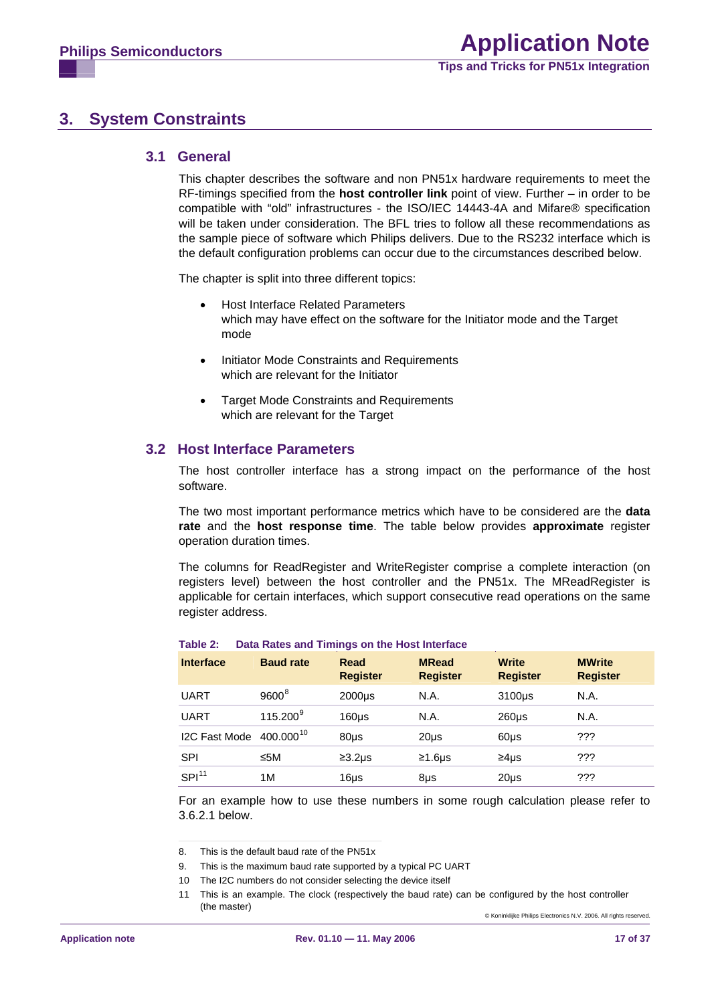# <span id="page-16-4"></span>**3. System Constraints**

#### **3.1 General**

This chapter describes the software and non PN51x hardware requirements to meet the RF-timings specified from the **host controller link** point of view. Further – in order to be compatible with "old" infrastructures - the ISO/IEC 14443-4A and Mifare® specification will be taken under consideration. The BFL tries to follow all these recommendations as the sample piece of software which Philips delivers. Due to the RS232 interface which is the default configuration problems can occur due to the circumstances described below.

The chapter is split into three different topics:

- Host Interface Related Parameters which may have effect on the software for the Initiator mode and the Target mode
- Initiator Mode Constraints and Requirements which are relevant for the Initiator
- Target Mode Constraints and Requirements which are relevant for the Target

#### **3.2 Host Interface Parameters**

The host controller interface has a strong impact on the performance of the host software.

The two most important performance metrics which have to be considered are the **data rate** and the **host response time**. The table below provides **approximate** register operation duration times.

The columns for ReadRegister and WriteRegister comprise a complete interaction (on registers level) between the host controller and the PN51x. The MReadRegister is applicable for certain interfaces, which support consecutive read operations on the same register address.

| <b>Interface</b>  | <b>Baud rate</b>      | Read<br><b>Register</b> | <b>MRead</b><br><b>Register</b> | <b>Write</b><br><b>Register</b> | <b>MWrite</b><br><b>Register</b> |
|-------------------|-----------------------|-------------------------|---------------------------------|---------------------------------|----------------------------------|
| <b>UART</b>       | $9600^8$              | $2000\mu s$             | N.A.                            | 3100us                          | N.A.                             |
| <b>UART</b>       | 115.200 <sup>9</sup>  | 160 <sub>µ</sub>        | N.A.                            | $260µ$ s                        | N.A.                             |
| I2C Fast Mode     | 400.000 <sup>10</sup> | $80µ$ s                 | $20µ$ s                         | $60\mu s$                       | ???                              |
| SPI               | ≤5M                   | $\geq 3.2$ us           | $≥1.6\mu s$                     | $\geq 4$ us                     | ???                              |
| SPI <sup>11</sup> | 1M                    | 16µs                    | 8µs                             | $20µ$ s                         | ???                              |

#### **Table 2: Data Rates and Timings on the Host Interface**

For an example how to use these numbers in some rough calculation please refer to [3.6.2.1 below](#page-19-0).

<span id="page-16-1"></span><span id="page-16-0"></span><sup>8.</sup> This is the default baud rate of the PN51x

<span id="page-16-2"></span><sup>9.</sup> This is the maximum baud rate supported by a typical PC UART

<sup>10</sup> The I2C numbers do not consider selecting the device itself

<span id="page-16-3"></span><sup>©</sup> Koninklijke Philips Electronics N.V. 2006. All rights reserved. 11 This is an example. The clock (respectively the baud rate) can be configured by the host controller (the master)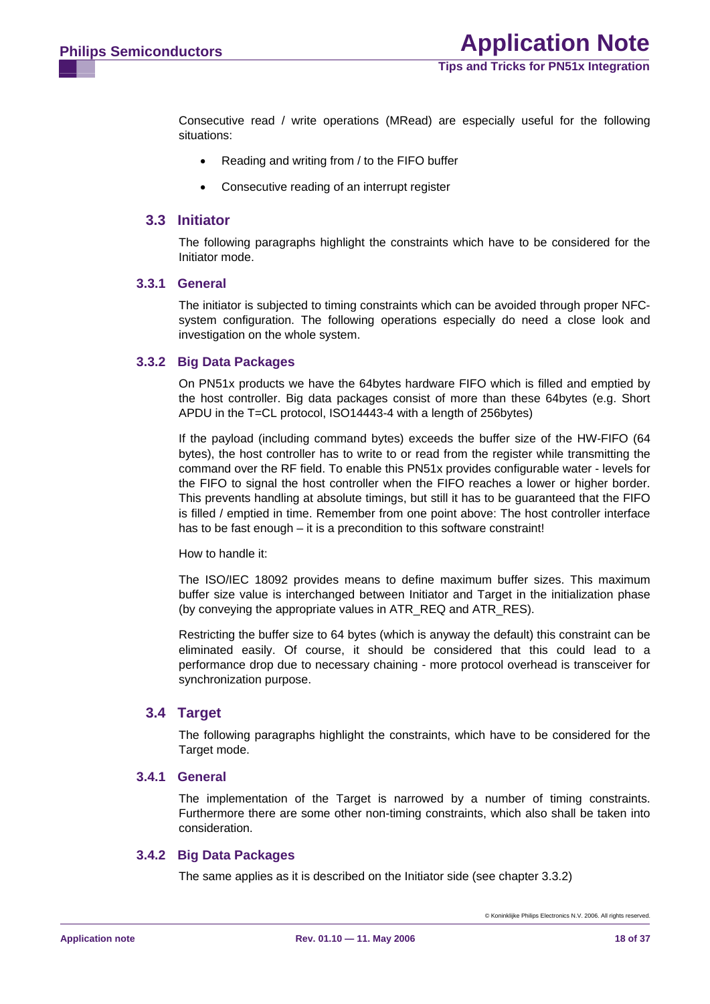**Tips and Tricks for PN51x Integration**

<span id="page-17-1"></span>Consecutive read / write operations (MRead) are especially useful for the following situations:

- Reading and writing from / to the FIFO buffer
- Consecutive reading of an interrupt register

#### **3.3 Initiator**

The following paragraphs highlight the constraints which have to be considered for the Initiator mode.

#### **3.3.1 General**

The initiator is subjected to timing constraints which can be avoided through proper NFCsystem configuration. The following operations especially do need a close look and investigation on the whole system.

#### <span id="page-17-0"></span>**3.3.2 Big Data Packages**

On PN51x products we have the 64bytes hardware FIFO which is filled and emptied by the host controller. Big data packages consist of more than these 64bytes (e.g. Short APDU in the T=CL protocol, ISO14443-4 with a length of 256bytes)

If the payload (including command bytes) exceeds the buffer size of the HW-FIFO (64 bytes), the host controller has to write to or read from the register while transmitting the command over the RF field. To enable this PN51x provides configurable water - levels for the FIFO to signal the host controller when the FIFO reaches a lower or higher border. This prevents handling at absolute timings, but still it has to be guaranteed that the FIFO is filled / emptied in time. Remember from one point above: The host controller interface has to be fast enough – it is a precondition to this software constraint!

How to handle it:

The ISO/IEC 18092 provides means to define maximum buffer sizes. This maximum buffer size value is interchanged between Initiator and Target in the initialization phase (by conveying the appropriate values in ATR\_REQ and ATR\_RES).

Restricting the buffer size to 64 bytes (which is anyway the default) this constraint can be eliminated easily. Of course, it should be considered that this could lead to a performance drop due to necessary chaining - more protocol overhead is transceiver for synchronization purpose.

#### **3.4 Target**

The following paragraphs highlight the constraints, which have to be considered for the Target mode.

#### **3.4.1 General**

The implementation of the Target is narrowed by a number of timing constraints. Furthermore there are some other non-timing constraints, which also shall be taken into consideration.

#### **3.4.2 Big Data Packages**

The same applies as it is described on the Initiator side (see chapter [3.3.2\)](#page-17-0)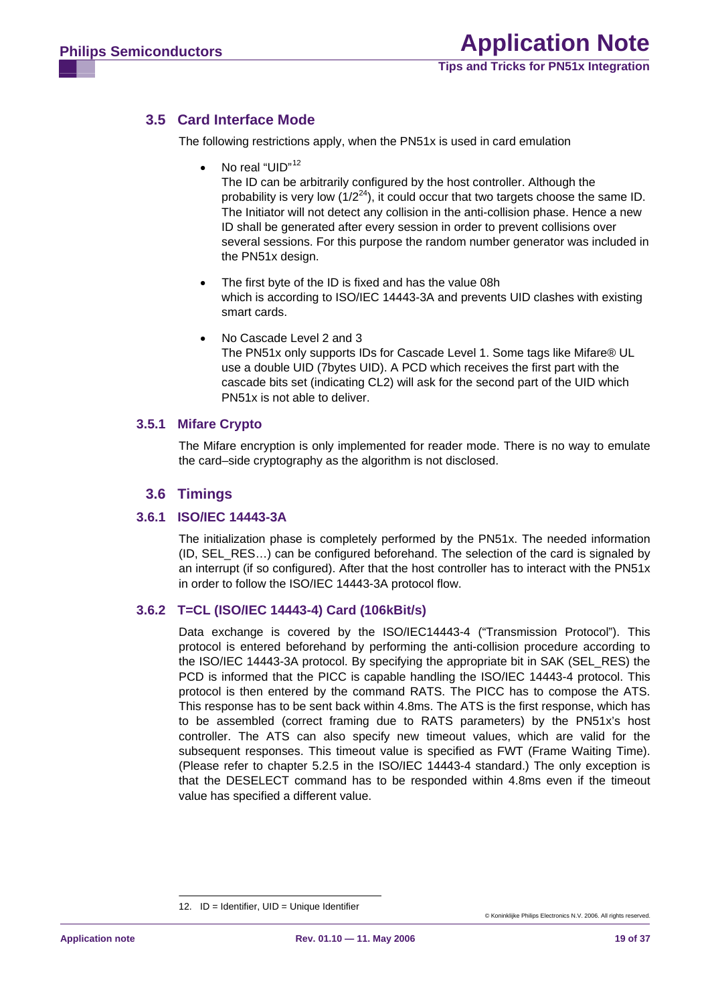# <span id="page-18-1"></span>**3.5 Card Interface Mode**

The following restrictions apply, when the PN51x is used in card emulation

No real "UID"<sup>[12](#page-18-0)</sup>

The ID can be arbitrarily configured by the host controller. Although the probability is very low  $(1/2^{24})$ , it could occur that two targets choose the same ID. The Initiator will not detect any collision in the anti-collision phase. Hence a new ID shall be generated after every session in order to prevent collisions over several sessions. For this purpose the random number generator was included in the PN51x design.

- The first byte of the ID is fixed and has the value 08h which is according to ISO/IEC 14443-3A and prevents UID clashes with existing smart cards.
- No Cascade Level 2 and 3 The PN51x only supports IDs for Cascade Level 1. Some tags like Mifare® UL use a double UID (7bytes UID). A PCD which receives the first part with the cascade bits set (indicating CL2) will ask for the second part of the UID which PN51x is not able to deliver.

#### **3.5.1 Mifare Crypto**

The Mifare encryption is only implemented for reader mode. There is no way to emulate the card–side cryptography as the algorithm is not disclosed.

## **3.6 Timings**

#### **3.6.1 ISO/IEC 14443-3A**

The initialization phase is completely performed by the PN51x. The needed information (ID, SEL\_RES…) can be configured beforehand. The selection of the card is signaled by an interrupt (if so configured). After that the host controller has to interact with the PN51x in order to follow the ISO/IEC 14443-3A protocol flow.

## **3.6.2 T=CL (ISO/IEC 14443-4) Card (106kBit/s)**

Data exchange is covered by the ISO/IEC14443-4 ("Transmission Protocol"). This protocol is entered beforehand by performing the anti-collision procedure according to the ISO/IEC 14443-3A protocol. By specifying the appropriate bit in SAK (SEL\_RES) the PCD is informed that the PICC is capable handling the ISO/IEC 14443-4 protocol. This protocol is then entered by the command RATS. The PICC has to compose the ATS. This response has to be sent back within 4.8ms. The ATS is the first response, which has to be assembled (correct framing due to RATS parameters) by the PN51x's host controller. The ATS can also specify new timeout values, which are valid for the subsequent responses. This timeout value is specified as FWT (Frame Waiting Time). (Please refer to chapter 5.2.5 in the ISO/IEC 14443-4 standard.) The only exception is that the DESELECT command has to be responded within 4.8ms even if the timeout value has specified a different value.

<span id="page-18-0"></span><sup>12.</sup> ID = Identifier, UID = Unique Identifier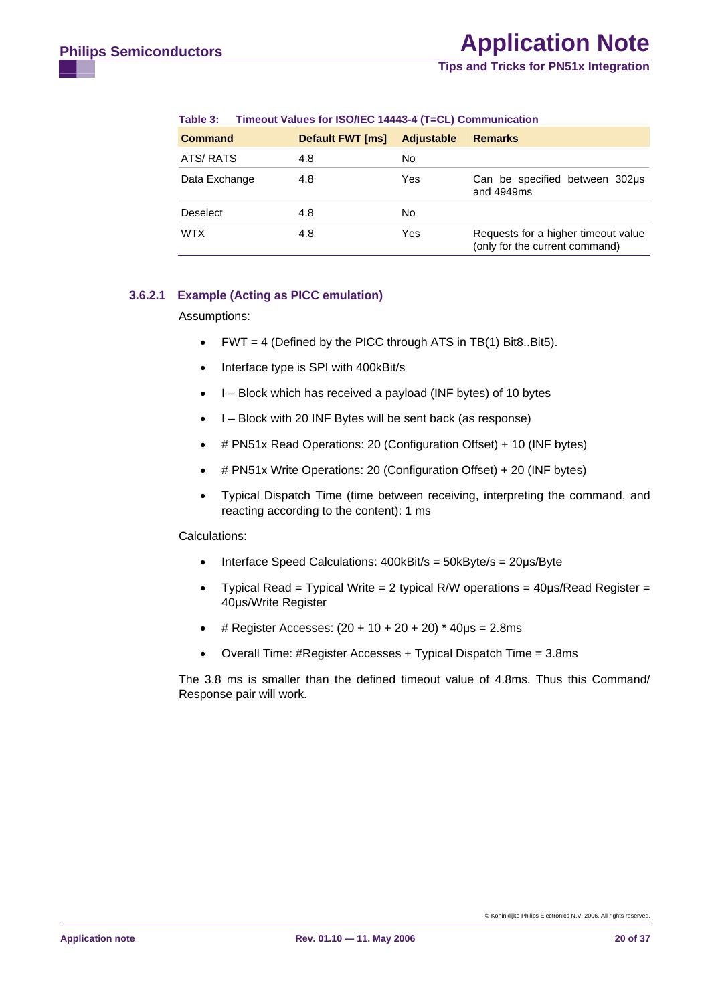**Tips and Tricks for PN51x Integration**

<span id="page-19-1"></span>

| <b>Command</b>  | <b>Default FWT [ms]</b> | <b>Adjustable</b> | <b>Remarks</b>                                                        |
|-----------------|-------------------------|-------------------|-----------------------------------------------------------------------|
| ATS/RATS        | 4.8                     | No                |                                                                       |
| Data Exchange   | 4.8                     | Yes               | Can be specified between 302us<br>and 4949ms                          |
| <b>Deselect</b> | 4.8                     | No                |                                                                       |
| <b>WTX</b>      | 4.8                     | Yes               | Requests for a higher timeout value<br>(only for the current command) |

#### **Table 3: Timeout Values for ISO/IEC 14443-4 (T=CL) Communication**

#### <span id="page-19-0"></span>**3.6.2.1 Example (Acting as PICC emulation)**

Assumptions:

- FWT = 4 (Defined by the PICC through ATS in TB(1) Bit8..Bit5).
- Interface type is SPI with 400kBit/s
- I Block which has received a payload (INF bytes) of 10 bytes
- I Block with 20 INF Bytes will be sent back (as response)
- # PN51x Read Operations: 20 (Configuration Offset) + 10 (INF bytes)
- # PN51x Write Operations: 20 (Configuration Offset) + 20 (INF bytes)
- Typical Dispatch Time (time between receiving, interpreting the command, and reacting according to the content): 1 ms

#### Calculations:

- Interface Speed Calculations: 400kBit/s = 50kByte/s = 20μs/Byte
- Typical Read = Typical Write = 2 typical R/W operations =  $40 \mu s/Read$  Register = 40μs/Write Register
- $#$  Register Accesses: (20 + 10 + 20 + 20) \* 40μs = 2.8ms
- Overall Time: #Register Accesses + Typical Dispatch Time = 3.8ms

The 3.8 ms is smaller than the defined timeout value of 4.8ms. Thus this Command/ Response pair will work.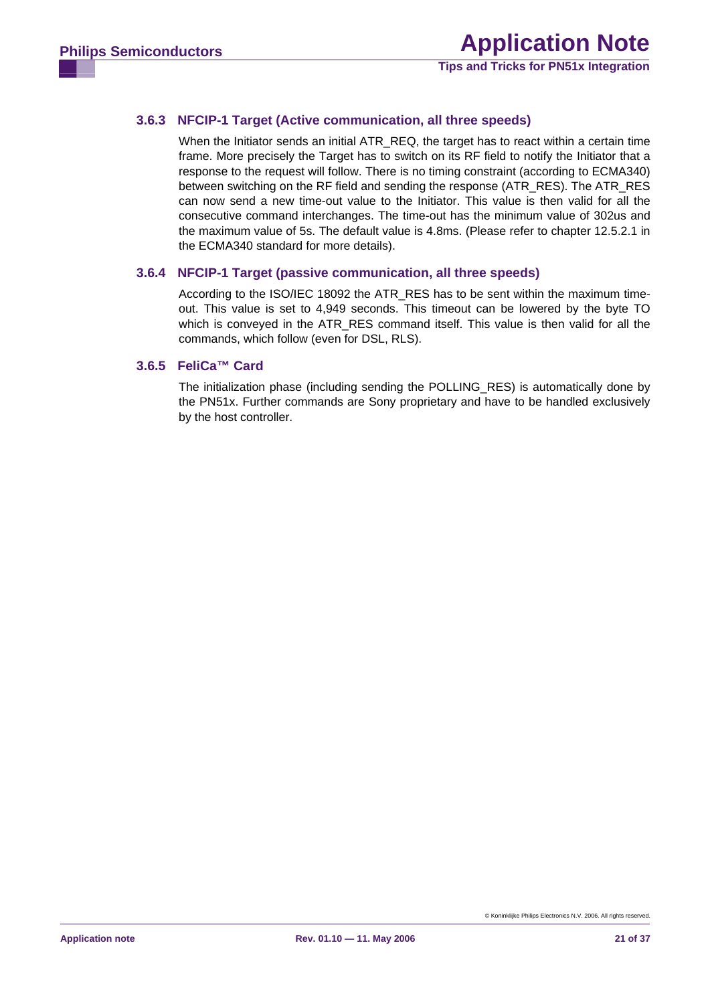## <span id="page-20-0"></span>**3.6.3 NFCIP-1 Target (Active communication, all three speeds)**

When the Initiator sends an initial ATR\_REQ, the target has to react within a certain time frame. More precisely the Target has to switch on its RF field to notify the Initiator that a response to the request will follow. There is no timing constraint (according to ECMA340) between switching on the RF field and sending the response (ATR\_RES). The ATR\_RES can now send a new time-out value to the Initiator. This value is then valid for all the consecutive command interchanges. The time-out has the minimum value of 302us and the maximum value of 5s. The default value is 4.8ms. (Please refer to chapter 12.5.2.1 in the ECMA340 standard for more details).

#### **3.6.4 NFCIP-1 Target (passive communication, all three speeds)**

According to the ISO/IEC 18092 the ATR\_RES has to be sent within the maximum timeout. This value is set to 4,949 seconds. This timeout can be lowered by the byte TO which is conveyed in the ATR RES command itself. This value is then valid for all the commands, which follow (even for DSL, RLS).

#### **3.6.5 FeliCa™ Card**

The initialization phase (including sending the POLLING\_RES) is automatically done by the PN51x. Further commands are Sony proprietary and have to be handled exclusively by the host controller.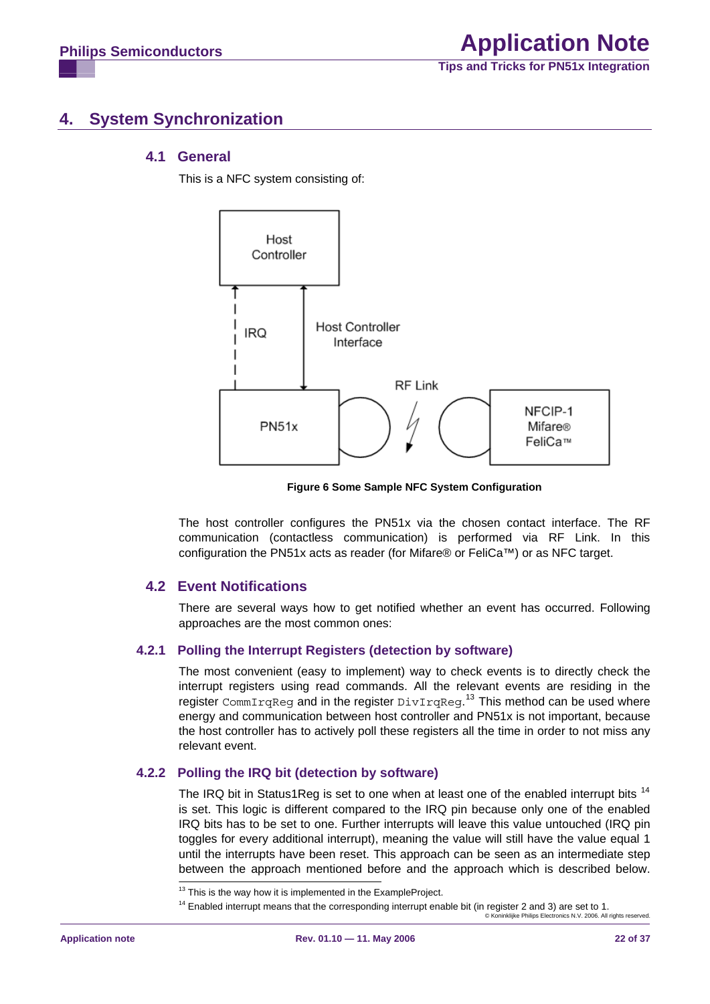# <span id="page-21-2"></span>**4. System Synchronization**

## **4.1 General**

This is a NFC system consisting of:



**Figure 6 Some Sample NFC System Configuration** 

The host controller configures the PN51x via the chosen contact interface. The RF communication (contactless communication) is performed via RF Link. In this configuration the PN51x acts as reader (for Mifare® or FeliCa™) or as NFC target.

## **4.2 Event Notifications**

There are several ways how to get notified whether an event has occurred. Following approaches are the most common ones:

## **4.2.1 Polling the Interrupt Registers (detection by software)**

The most convenient (easy to implement) way to check events is to directly check the interrupt registers using read commands. All the relevant events are residing in the register CommIrqReg and in the register  $\text{DivTrqReg}$ .<sup>[13](#page-21-0)</sup> This method can be used where energy and communication between host controller and PN51x is not important, because the host controller has to actively poll these registers all the time in order to not miss any relevant event.

## **4.2.2 Polling the IRQ bit (detection by software)**

The IRQ bit in Status1Reg is set to one when at least one of the enabled interrupt bits <sup>[14](#page-21-1)</sup> is set. This logic is different compared to the IRQ pin because only one of the enabled IRQ bits has to be set to one. Further interrupts will leave this value untouched (IRQ pin toggles for every additional interrupt), meaning the value will still have the value equal 1 until the interrupts have been reset. This approach can be seen as an intermediate step between the approach mentioned before and the approach which is described below.

 $13$  This is the way how it is implemented in the ExampleProject.

<span id="page-21-1"></span><span id="page-21-0"></span><sup>©</sup> Koninklijke Philips Electronics N.V. 2006. All rights reserved. <sup>14</sup> Enabled interrupt means that the corresponding interrupt enable bit (in register 2 and 3) are set to 1.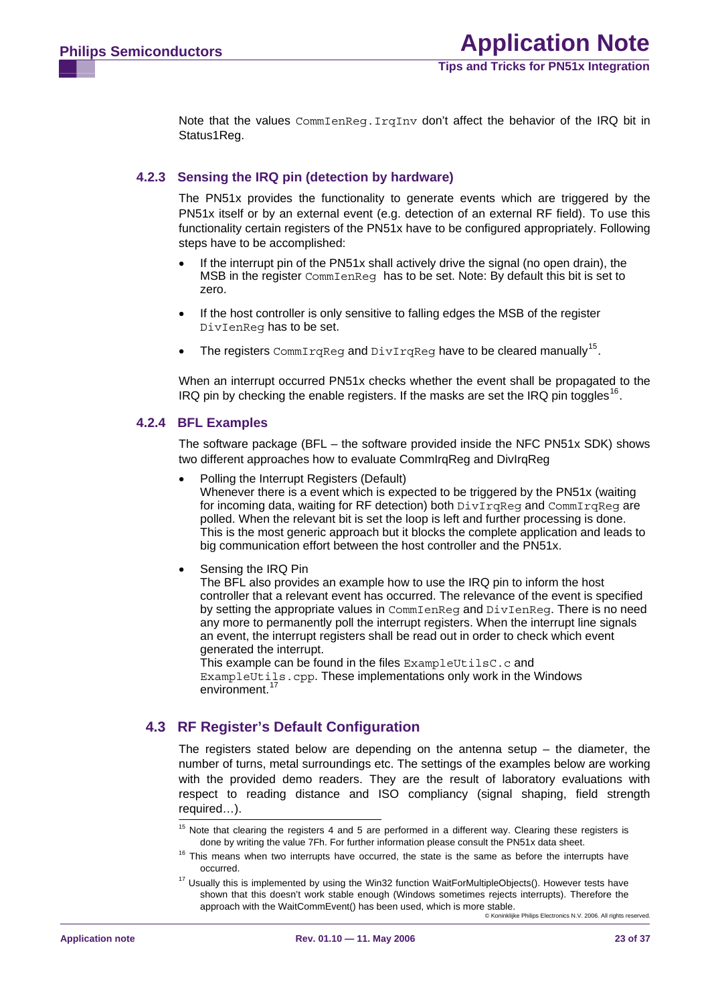<span id="page-22-3"></span>Note that the values  $CommIence, Irafnv$  don't affect the behavior of the IRQ bit in Status1Reg.

#### **4.2.3 Sensing the IRQ pin (detection by hardware)**

The PN51x provides the functionality to generate events which are triggered by the PN51x itself or by an external event (e.g. detection of an external RF field). To use this functionality certain registers of the PN51x have to be configured appropriately. Following steps have to be accomplished:

- If the interrupt pin of the PN51x shall actively drive the signal (no open drain), the MSB in the register CommIenReg has to be set. Note: By default this bit is set to zero.
- If the host controller is only sensitive to falling edges the MSB of the register DivIenReg has to be set.
- The registers  $\text{CommImage}$  and  $\text{DivTrace}$  have to be cleared manually<sup>[15](#page-22-0)</sup>.

When an interrupt occurred PN51x checks whether the event shall be propagated to the IRQ pin by checking the enable registers. If the masks are set the IRQ pin toggles<sup>[16](#page-22-1)</sup>.

#### **4.2.4 BFL Examples**

The software package (BFL – the software provided inside the NFC PN51x SDK) shows two different approaches how to evaluate CommIrgReg and DivIrgReg

- Polling the Interrupt Registers (Default) Whenever there is a event which is expected to be triggered by the PN51x (waiting for incoming data, waiting for RF detection) both  $\text{DivImage}$  and  $\text{CommImage}$  are polled. When the relevant bit is set the loop is left and further processing is done. This is the most generic approach but it blocks the complete application and leads to big communication effort between the host controller and the PN51x.
- Sensing the IRQ Pin

The BFL also provides an example how to use the IRQ pin to inform the host controller that a relevant event has occurred. The relevance of the event is specified by setting the appropriate values in CommIenReg and DivIenReg. There is no need any more to permanently poll the interrupt registers. When the interrupt line signals an event, the interrupt registers shall be read out in order to check which event generated the interrupt.

This example can be found in the files ExampleUtilsC.c and ExampleUtils.cpp. These implementations only work in the Windows environment.<sup>[17](#page-22-2)</sup>

## <span id="page-22-0"></span>**4.3 RF Register's Default Configuration**

The registers stated below are depending on the antenna setup  $-$  the diameter, the number of turns, metal surroundings etc. The settings of the examples below are working with the provided demo readers. They are the result of laboratory evaluations with respect to reading distance and ISO compliancy (signal shaping, field strength required…).

<sup>&</sup>lt;sup>15</sup> Note that clearing the registers 4 and 5 are performed in a different way. Clearing these registers is done by writing the value 7Fh. For further information please consult the PN51x data sheet.

<span id="page-22-1"></span><sup>&</sup>lt;sup>16</sup> This means when two interrupts have occurred, the state is the same as before the interrupts have occurred.

<span id="page-22-2"></span><sup>&</sup>lt;sup>17</sup> Usually this is implemented by using the Win32 function WaitForMultipleObjects(). However tests have shown that this doesn't work stable enough (Windows sometimes rejects interrupts). Therefore the approach with the WaitCommEvent() has been used, which is more stable.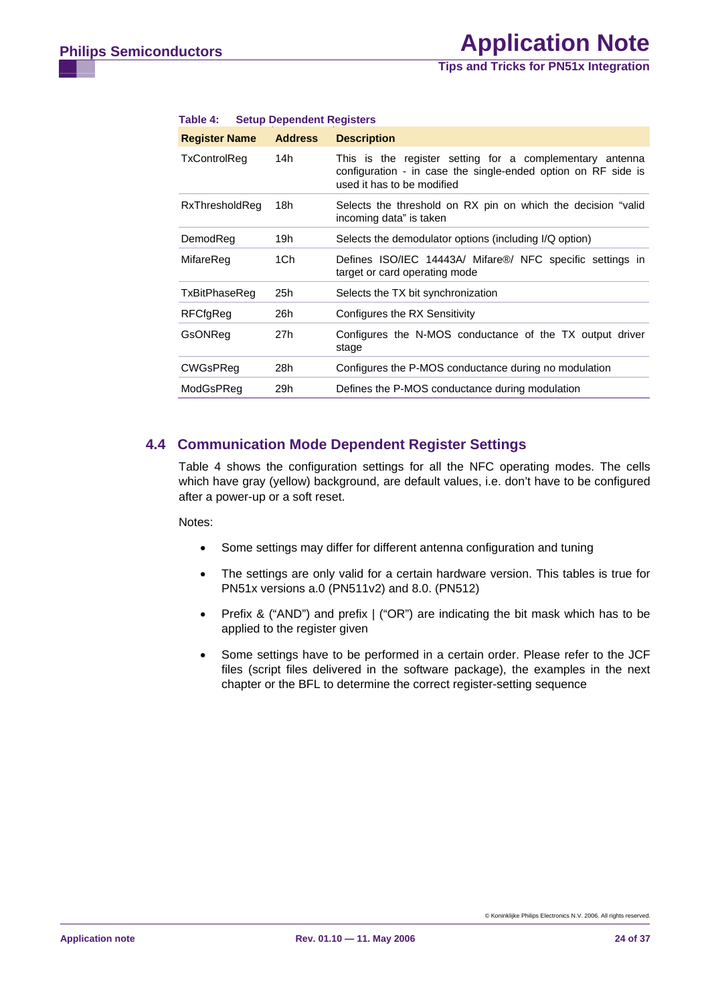**Tips and Tricks for PN51x Integration**

| <b>Register Name</b> | <b>Address</b> | <b>Description</b>                                                                                                                                      |
|----------------------|----------------|---------------------------------------------------------------------------------------------------------------------------------------------------------|
| TxControlReg         | 14h            | This is the register setting for a complementary antenna<br>configuration - in case the single-ended option on RF side is<br>used it has to be modified |
| RxThresholdReg       | 18h            | Selects the threshold on RX pin on which the decision "valid"<br>incoming data" is taken                                                                |
| DemodReg             | 19h            | Selects the demodulator options (including I/Q option)                                                                                                  |
| MifareReg            | 1Ch            | Defines ISO/IEC 14443A/ Mifare®/ NFC specific settings in<br>target or card operating mode                                                              |
| TxBitPhaseReg        | 25h            | Selects the TX bit synchronization                                                                                                                      |
| RFCfgReg             | 26h            | Configures the RX Sensitivity                                                                                                                           |
| GsONReg              | 27h            | Configures the N-MOS conductance of the TX output driver<br>stage                                                                                       |
| CWGsPReg             | 28h            | Configures the P-MOS conductance during no modulation                                                                                                   |
| ModGsPReg            | 29h            | Defines the P-MOS conductance during modulation                                                                                                         |

#### <span id="page-23-0"></span>**Table 4: Setup Dependent Registers**

#### **4.4 Communication Mode Dependent Register Settings**

Table 4 shows the configuration settings for all the NFC operating modes. The cells which have gray (yellow) background, are default values, i.e. don't have to be configured after a power-up or a soft reset.

Notes:

- Some settings may differ for different antenna configuration and tuning
- The settings are only valid for a certain hardware version. This tables is true for PN51x versions a.0 (PN511v2) and 8.0. (PN512)
- Prefix & ("AND") and prefix | ("OR") are indicating the bit mask which has to be applied to the register given
- Some settings have to be performed in a certain order. Please refer to the JCF files (script files delivered in the software package), the examples in the next chapter or the BFL to determine the correct register-setting sequence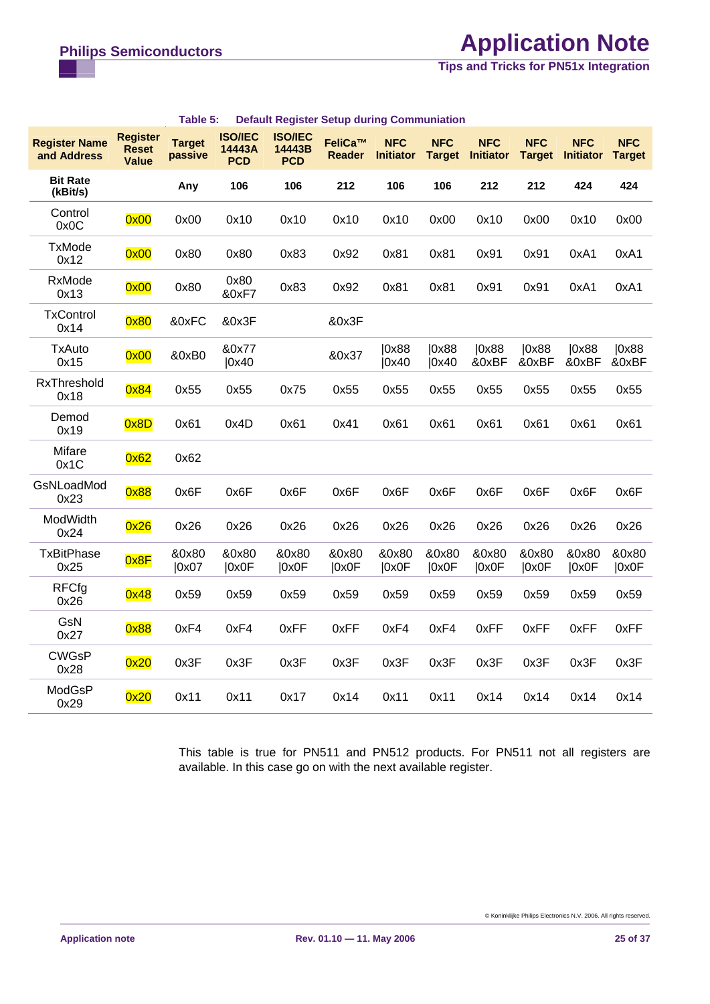# **Philips Semiconductors Application Note**

**Tips and Tricks for PN51x Integration**

| <b>Register Name</b><br>and Address | <b>Register</b><br><b>Reset</b><br><b>Value</b> | <b>Target</b><br>passive | <b>ISO/IEC</b><br>14443A<br><b>PCD</b> | <b>ISO/IEC</b><br>14443B<br><b>PCD</b> | FeliCa™<br><b>Reader</b> | <b>NFC</b><br><b>Initiator</b> | <b>NFC</b><br><b>Target</b> | <b>NFC</b><br><b>Initiator</b> | <b>NFC</b><br><b>Target</b> | <b>NFC</b><br><b>Initiator</b> | <b>NFC</b><br><b>Target</b> |
|-------------------------------------|-------------------------------------------------|--------------------------|----------------------------------------|----------------------------------------|--------------------------|--------------------------------|-----------------------------|--------------------------------|-----------------------------|--------------------------------|-----------------------------|
| <b>Bit Rate</b><br>(kBit/s)         |                                                 | Any                      | 106                                    | 106                                    | 212                      | 106                            | 106                         | 212                            | 212                         | 424                            | 424                         |
| Control<br>0x0C                     | 0x00                                            | 0x00                     | 0x10                                   | 0x10                                   | 0x10                     | 0x10                           | 0x00                        | 0x10                           | 0x00                        | 0x10                           | 0x00                        |
| <b>TxMode</b><br>0x12               | 0x00                                            | 0x80                     | 0x80                                   | 0x83                                   | 0x92                     | 0x81                           | 0x81                        | 0x91                           | 0x91                        | 0xA1                           | 0xA1                        |
| RxMode<br>0x13                      | 0x00                                            | 0x80                     | 0x80<br>&0xF7                          | 0x83                                   | 0x92                     | 0x81                           | 0x81                        | 0x91                           | 0x91                        | 0xA1                           | 0xA1                        |
| <b>TxControl</b><br>0x14            | 0x80                                            | &0xFC                    | &0x3F                                  |                                        | &0x3F                    |                                |                             |                                |                             |                                |                             |
| <b>TxAuto</b><br>0x15               | 0x00                                            | &0xB0                    | &0x77<br> 0x40                         |                                        | &0x37                    | 0x88<br> 0x40                  | 10x88<br>0x40               | 0x88<br>&0xBF                  | 0x88<br>&0xBF               | 0x88<br>&0xBF                  | 0x88<br>&0xBF               |
| RxThreshold<br>0x18                 | 0x84                                            | 0x55                     | 0x55                                   | 0x75                                   | 0x55                     | 0x55                           | 0x55                        | 0x55                           | 0x55                        | 0x55                           | 0x55                        |
| Demod<br>0x19                       | 0x8D                                            | 0x61                     | 0x4D                                   | 0x61                                   | 0x41                     | 0x61                           | 0x61                        | 0x61                           | 0x61                        | 0x61                           | 0x61                        |
| Mifare<br>0x1C                      | 0x62                                            | 0x62                     |                                        |                                        |                          |                                |                             |                                |                             |                                |                             |
| GsNLoadMod<br>0x23                  | 0x88                                            | 0x6F                     | 0x6F                                   | 0x6F                                   | 0x6F                     | 0x6F                           | 0x6F                        | 0x6F                           | 0x6F                        | 0x6F                           | 0x6F                        |
| ModWidth<br>0x24                    | 0x26                                            | 0x26                     | 0x26                                   | 0x26                                   | 0x26                     | 0x26                           | 0x26                        | 0x26                           | 0x26                        | 0x26                           | 0x26                        |
| <b>TxBitPhase</b><br>0x25           | 0x8F                                            | &0x80<br> 0x07           | &0x80<br> 0x0F                         | &0x80<br> 0x0F                         | &0x80<br> 0x0F           | &0x80<br> 0x0F                 | &0x80<br> 0x0F              | &0x80<br> 0x0F                 | &0x80<br> 0x0F              | &0x80<br> 0x0F                 | &0x80<br> 0x0F              |
| <b>RFCfg</b><br>0x26                | 0x48                                            | 0x59                     | 0x59                                   | 0x59                                   | 0x59                     | 0x59                           | 0x59                        | 0x59                           | 0x59                        | 0x59                           | 0x59                        |
| GsN<br>0x27                         | 0x88                                            | 0xF4                     | 0xF4                                   | 0xFF                                   | 0xFF                     | 0xF4                           | 0xF4                        | 0xFF                           | 0xFF                        | 0xFF                           | 0xFF                        |
| <b>CWGsP</b><br>0x28                | 0x20                                            | 0x3F                     | 0x3F                                   | 0x3F                                   | 0x3F                     | 0x3F                           | 0x3F                        | 0x3F                           | 0x3F                        | 0x3F                           | 0x3F                        |
| ModGsP<br>0x29                      | 0x20                                            | 0x11                     | 0x11                                   | 0x17                                   | 0x14                     | 0x11                           | 0x11                        | 0x14                           | 0x14                        | 0x14                           | 0x14                        |

#### **Table 5: Default Register Setup during Communiation**

This table is true for PN511 and PN512 products. For PN511 not all registers are available. In this case go on with the next available register.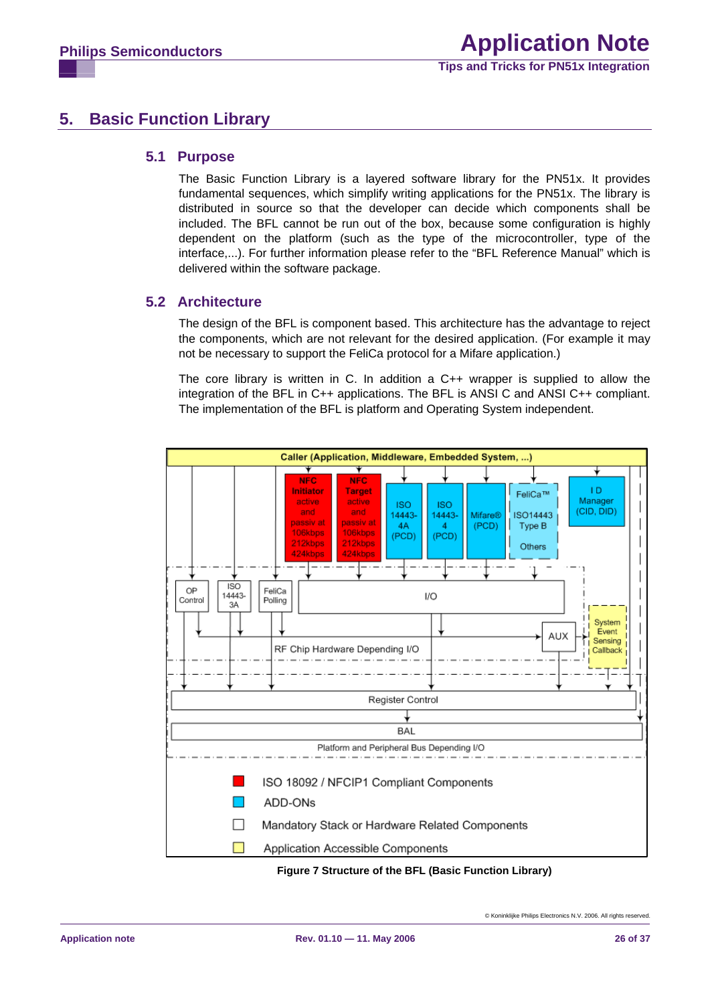# <span id="page-25-0"></span>**5. Basic Function Library**

#### **5.1 Purpose**

The Basic Function Library is a layered software library for the PN51x. It provides fundamental sequences, which simplify writing applications for the PN51x. The library is distributed in source so that the developer can decide which components shall be included. The BFL cannot be run out of the box, because some configuration is highly dependent on the platform (such as the type of the microcontroller, type of the interface,...). For further information please refer to the "BFL Reference Manual" which is delivered within the software package.

## **5.2 Architecture**

The design of the BFL is component based. This architecture has the advantage to reject the components, which are not relevant for the desired application. (For example it may not be necessary to support the FeliCa protocol for a Mifare application.)

The core library is written in C. In addition a C++ wrapper is supplied to allow the integration of the BFL in C++ applications. The BFL is ANSI C and ANSI C++ compliant. The implementation of the BFL is platform and Operating System independent.



**Figure 7 Structure of the BFL (Basic Function Library)**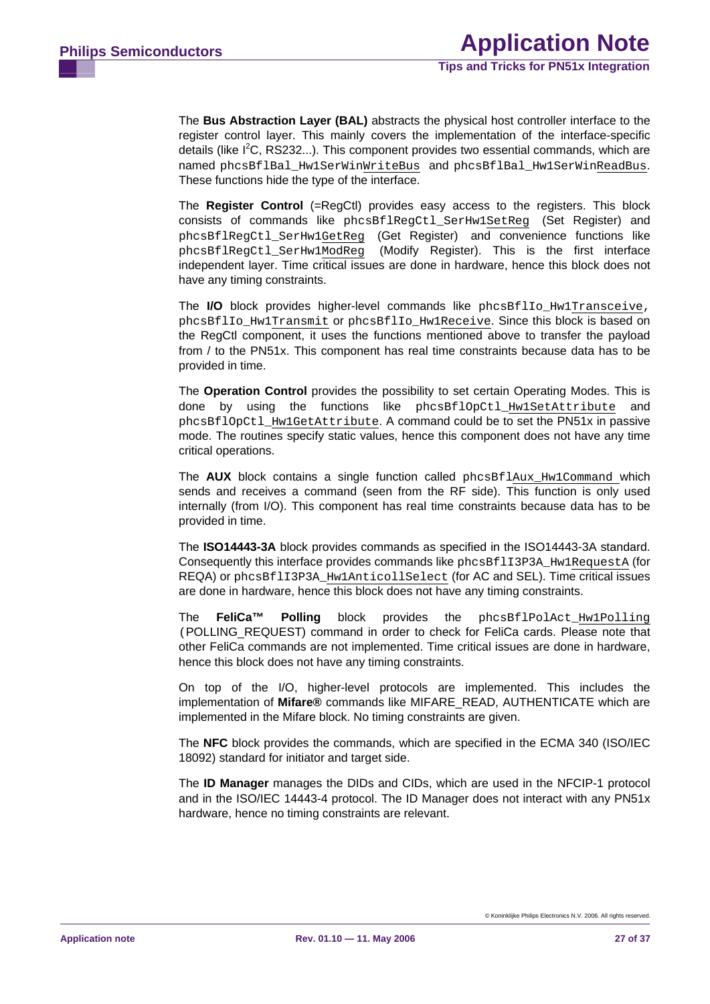The **Bus Abstraction Layer (BAL)** abstracts the physical host controller interface to the register control layer. This mainly covers the implementation of the interface-specific details (like  $I^2C$ , RS232...). This component provides two essential commands, which are named phcsBflBal\_Hw1SerWinWriteBus and phcsBflBal\_Hw1SerWinReadBus. These functions hide the type of the interface.

The **Register Control** (=RegCtl) provides easy access to the registers. This block consists of commands like phcsBflRegCtl\_SerHw1SetReg (Set Register) and phcsBflRegCtl\_SerHw1GetReg (Get Register) and convenience functions like phcsBflRegCtl\_SerHw1ModReg (Modify Register). This is the first interface independent layer. Time critical issues are done in hardware, hence this block does not have any timing constraints.

The **I/O** block provides higher-level commands like phcsBflIo\_Hw1Transceive, phcsBflIo\_Hw1Transmit or phcsBflIo\_Hw1Receive. Since this block is based on the RegCtl component, it uses the functions mentioned above to transfer the payload from / to the PN51x. This component has real time constraints because data has to be provided in time.

The **Operation Control** provides the possibility to set certain Operating Modes. This is done by using the functions like phcsBflOpCtl\_Hw1SetAttribute and phcsBflOpCtl\_Hw1GetAttribute. A command could be to set the PN51x in passive mode. The routines specify static values, hence this component does not have any time critical operations.

The **AUX** block contains a single function called phcsBflAux\_Hw1Command which sends and receives a command (seen from the RF side). This function is only used internally (from I/O). This component has real time constraints because data has to be provided in time.

The **ISO14443-3A** block provides commands as specified in the ISO14443-3A standard. Consequently this interface provides commands like phcsBf1I3P3A\_Hw1RequestA (for REQA) or phcsBflI3P3A\_Hw1AnticollSelect (for AC and SEL). Time critical issues are done in hardware, hence this block does not have any timing constraints.

The **FeliCa™ Polling** block provides the phcsBflPolAct\_Hw1Polling (POLLING\_REQUEST) command in order to check for FeliCa cards. Please note that other FeliCa commands are not implemented. Time critical issues are done in hardware, hence this block does not have any timing constraints.

On top of the I/O, higher-level protocols are implemented. This includes the implementation of **Mifare®** commands like MIFARE\_READ, AUTHENTICATE which are implemented in the Mifare block. No timing constraints are given.

The **NFC** block provides the commands, which are specified in the ECMA 340 (ISO/IEC 18092) standard for initiator and target side.

The **ID Manager** manages the DIDs and CIDs, which are used in the NFCIP-1 protocol and in the ISO/IEC 14443-4 protocol. The ID Manager does not interact with any PN51x hardware, hence no timing constraints are relevant.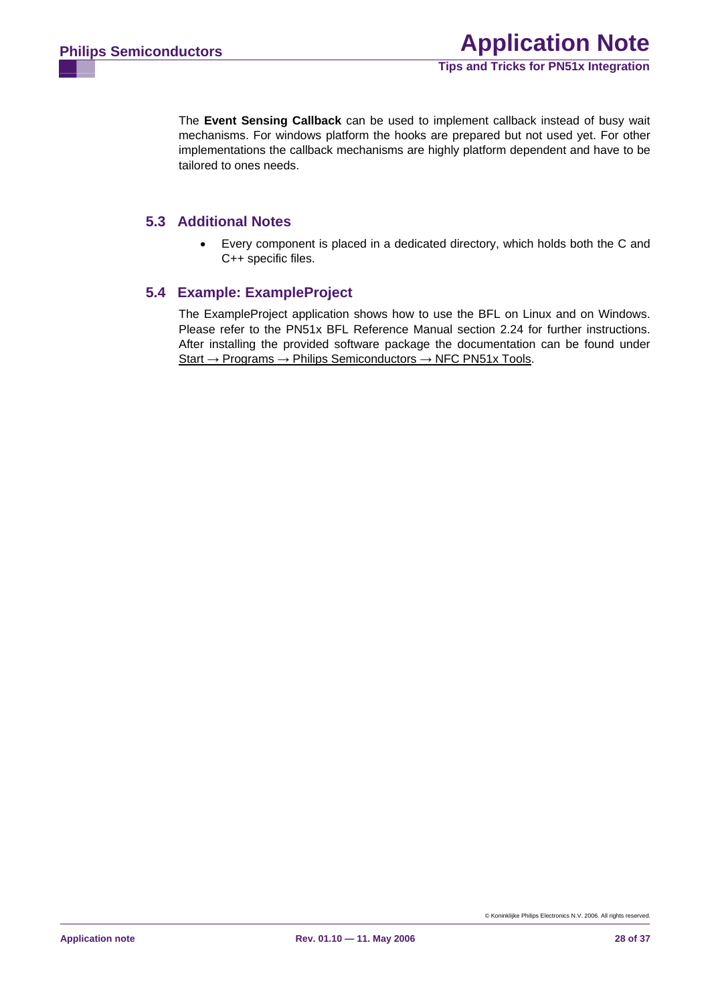<span id="page-27-0"></span>The **Event Sensing Callback** can be used to implement callback instead of busy wait mechanisms. For windows platform the hooks are prepared but not used yet. For other implementations the callback mechanisms are highly platform dependent and have to be tailored to ones needs.

## **5.3 Additional Notes**

• Every component is placed in a dedicated directory, which holds both the C and C++ specific files.

## **5.4 Example: ExampleProject**

The ExampleProject application shows how to use the BFL on Linux and on Windows. Please refer to the PN51x BFL Reference Manual section 2.24 for further instructions. After installing the provided software package the documentation can be found under Start → Programs → Philips Semiconductors → NFC PN51x Tools.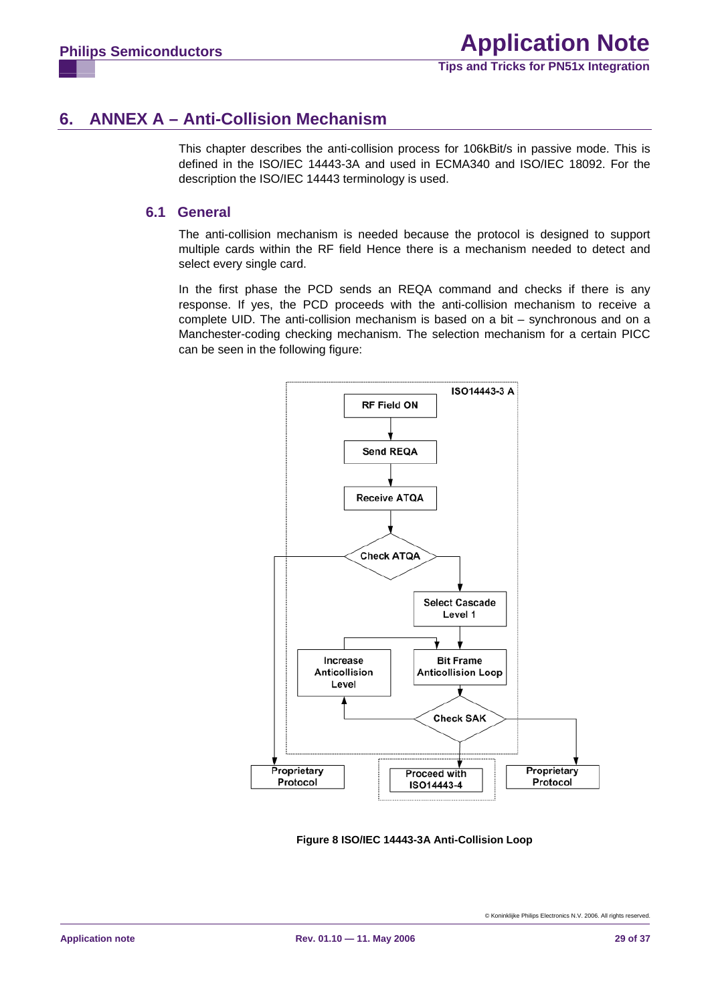# <span id="page-28-0"></span>**6. ANNEX A – Anti-Collision Mechanism**

This chapter describes the anti-collision process for 106kBit/s in passive mode. This is defined in the ISO/IEC 14443-3A and used in ECMA340 and ISO/IEC 18092. For the description the ISO/IEC 14443 terminology is used.

#### **6.1 General**

The anti-collision mechanism is needed because the protocol is designed to support multiple cards within the RF field Hence there is a mechanism needed to detect and select every single card.

In the first phase the PCD sends an REQA command and checks if there is any response. If yes, the PCD proceeds with the anti-collision mechanism to receive a complete UID. The anti-collision mechanism is based on a bit – synchronous and on a Manchester-coding checking mechanism. The selection mechanism for a certain PICC can be seen in the following figure:



**Figure 8 ISO/IEC 14443-3A Anti-Collision Loop**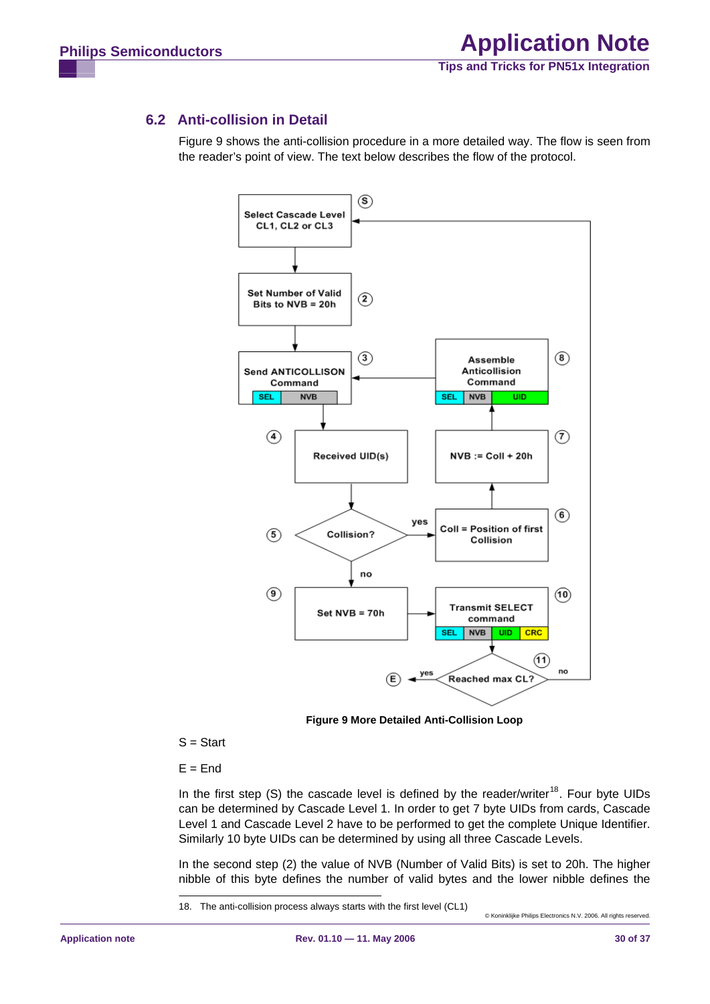## <span id="page-29-0"></span>**6.2 Anti-collision in Detail**

Figure 9 shows the anti-collision procedure in a more detailed way. The flow is seen from the reader's point of view. The text below describes the flow of the protocol.



**Figure 9 More Detailed Anti-Collision Loop** 

 $S = Start$ 

 $E =$ End

In the first step (S) the cascade level is defined by the reader/writer<sup>18</sup>. Four byte UIDs can be determined by Cascade Level 1. In order to get 7 byte UIDs from cards, Cascade Level 1 and Cascade Level 2 have to be performed to get the complete Unique Identifier. Similarly 10 byte UIDs can be determined by using all three Cascade Levels.

In the second step (2) the value of NVB (Number of Valid Bits) is set to 20h. The higher nibble of this byte defines the number of valid bytes and the lower nibble defines the

<sup>18.</sup> The anti-collision process always starts with the first level (CL1)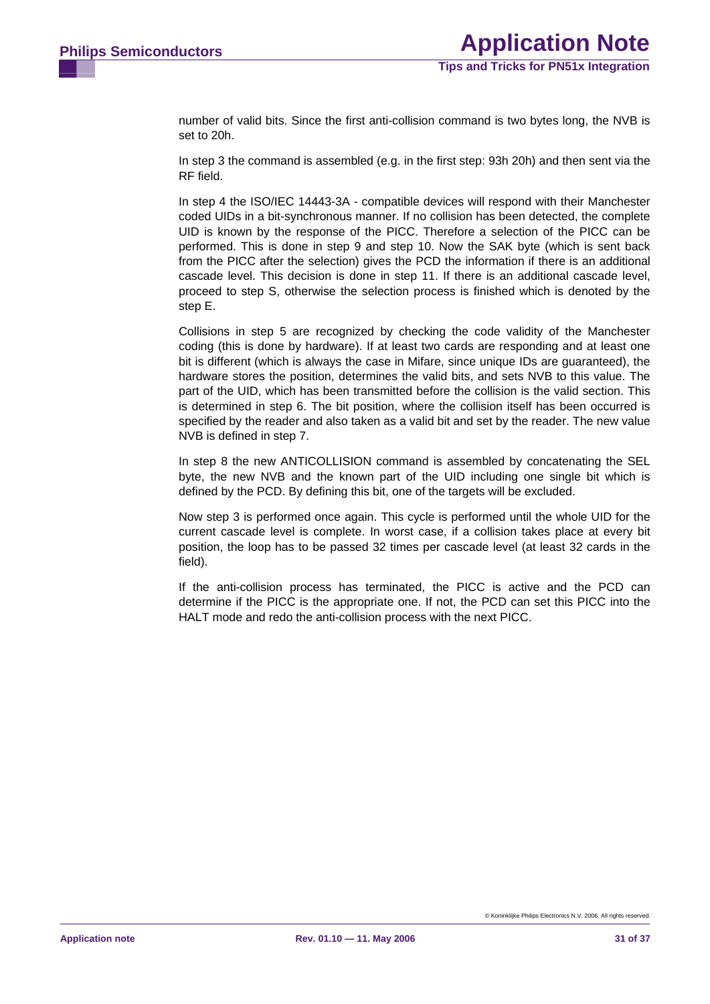number of valid bits. Since the first anti-collision command is two bytes long, the NVB is set to 20h.

In step 3 the command is assembled (e.g. in the first step: 93h 20h) and then sent via the RF field.

from the PICC after the selection) gives the PCD the information if there is an additional cascade level. This decision is done in step 11. If there is an additional cascade level, In step 4 the ISO/IEC 14443-3A - compatible devices will respond with their Manchester coded UIDs in a bit-synchronous manner. If no collision has been detected, the complete UID is known by the response of the PICC. Therefore a selection of the PICC can be performed. This is done in step 9 and step 10. Now the SAK byte (which is sent back proceed to step S, otherwise the selection process is finished which is denoted by the step E.

part of the UID, which has been transmitted before the collision is the valid section. This is determined in step 6. The bit position, where the collision itself has been occurred is Collisions in step 5 are recognized by checking the code validity of the Manchester coding (this is done by hardware). If at least two cards are responding and at least one bit is different (which is always the case in Mifare, since unique IDs are guaranteed), the hardware stores the position, determines the valid bits, and sets NVB to this value. The specified by the reader and also taken as a valid bit and set by the reader. The new value NVB is defined in step 7.

In step 8 the new ANTICOLLISION command is assembled by concatenating the SEL byte, the new NVB and the known part of the UID including one single bit which is defined by the PCD. By defining this bit, one of the targets will be excluded.

current cascade level is complete. In worst case, if a collision takes place at every bit Now step 3 is performed once again. This cycle is performed until the whole UID for the position, the loop has to be passed 32 times per cascade level (at least 32 cards in the field).

If the anti-collision process has terminated, the PICC is active and the PCD can determine if the PICC is the appropriate one. If not, the PCD can set this PICC into the HALT mode and redo the anti-collision process with the next PICC.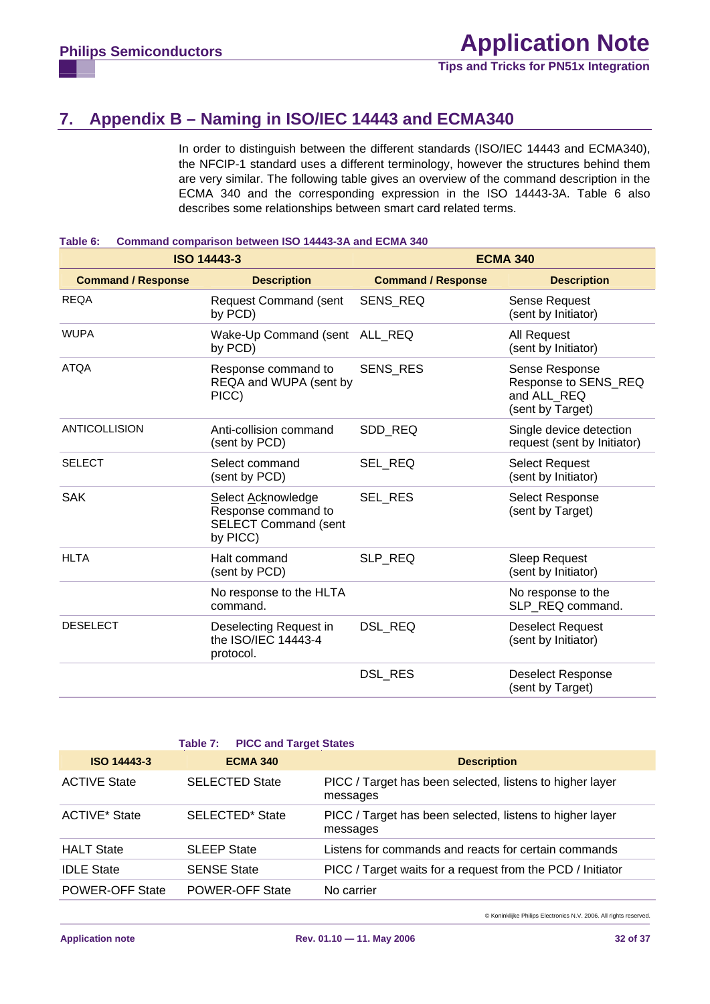**Tips and Tricks for PN51x Integration**

# <span id="page-31-0"></span>**7. Appendix B – Naming in ISO/IEC 14443 and ECMA340**

In order to distinguish between the different standards (ISO/IEC 14443 and ECMA340), the NFCIP-1 standard uses a different terminology, however the structures behind them are very similar. The following table gives an overview of the command description in the ECMA 340 and the corresponding expression in the ISO 14443-3A. Table 6 also describes some relationships between smart card related terms.

#### **Table 6: Command comparison between ISO 14443-3A and ECMA 340**

|                           | <b>ISO 14443-3</b>                                                                   | <b>ECMA 340</b>           |                                                                           |  |  |
|---------------------------|--------------------------------------------------------------------------------------|---------------------------|---------------------------------------------------------------------------|--|--|
| <b>Command / Response</b> | <b>Description</b>                                                                   | <b>Command / Response</b> | <b>Description</b>                                                        |  |  |
| <b>REQA</b>               | <b>Request Command (sent</b><br>by PCD)                                              | SENS_REQ                  | Sense Request<br>(sent by Initiator)                                      |  |  |
| <b>WUPA</b>               | Wake-Up Command (sent ALL_REQ<br>by PCD)                                             |                           | All Request<br>(sent by Initiator)                                        |  |  |
| <b>ATQA</b>               | Response command to<br>REQA and WUPA (sent by<br>PICC)                               | <b>SENS RES</b>           | Sense Response<br>Response to SENS_REQ<br>and ALL REQ<br>(sent by Target) |  |  |
| <b>ANTICOLLISION</b>      | Anti-collision command<br>(sent by PCD)                                              | SDD REQ                   | Single device detection<br>request (sent by Initiator)                    |  |  |
| <b>SELECT</b>             | Select command<br>(sent by PCD)                                                      | SEL REQ                   | <b>Select Request</b><br>(sent by Initiator)                              |  |  |
| <b>SAK</b>                | Select Acknowledge<br>Response command to<br><b>SELECT Command (sent</b><br>by PICC) | <b>SEL RES</b>            | <b>Select Response</b><br>(sent by Target)                                |  |  |
| <b>HLTA</b>               | Halt command<br>(sent by PCD)                                                        | SLP_REQ                   | <b>Sleep Request</b><br>(sent by Initiator)                               |  |  |
|                           | No response to the HLTA<br>command.                                                  |                           | No response to the<br>SLP REQ command.                                    |  |  |
| <b>DESELECT</b>           | Deselecting Request in<br>the ISO/IEC 14443-4<br>protocol.                           | DSL_REQ                   | <b>Deselect Request</b><br>(sent by Initiator)                            |  |  |
|                           |                                                                                      | DSL_RES                   | <b>Deselect Response</b><br>(sent by Target)                              |  |  |

|                        | <b>Table 7: PICC and Target States</b> |                                                                      |
|------------------------|----------------------------------------|----------------------------------------------------------------------|
| <b>ISO 14443-3</b>     | <b>ECMA 340</b>                        | <b>Description</b>                                                   |
| <b>ACTIVE State</b>    | <b>SELECTED State</b>                  | PICC / Target has been selected, listens to higher layer<br>messages |
| <b>ACTIVE*</b> State   | SELECTED* State                        | PICC / Target has been selected, listens to higher layer<br>messages |
| <b>HALT State</b>      | <b>SLEEP State</b>                     | Listens for commands and reacts for certain commands                 |
| <b>IDLE State</b>      | <b>SENSE State</b>                     | PICC / Target waits for a request from the PCD / Initiator           |
| <b>POWER-OFF State</b> | <b>POWER-OFF State</b>                 | No carrier                                                           |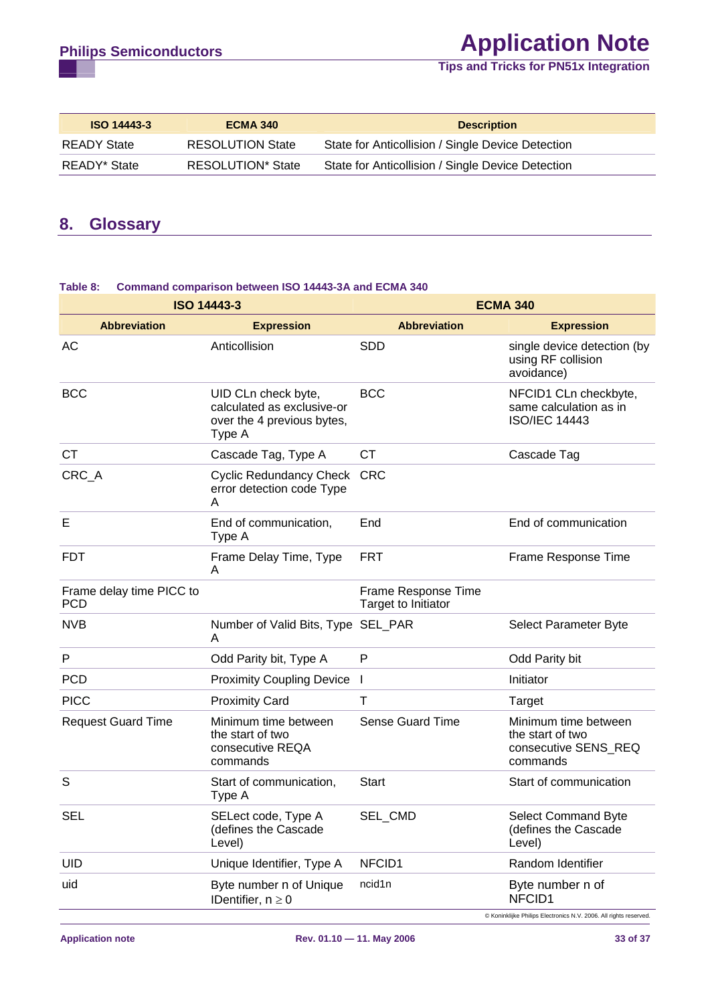# <span id="page-32-0"></span>**Philips Semiconductors Application Note**

#### **Tips and Tricks for PN51x Integration**

| <b>ISO 14443-3</b> | <b>ECMA 340</b>          | <b>Description</b>                                |
|--------------------|--------------------------|---------------------------------------------------|
| <b>READY State</b> | <b>RESOLUTION State</b>  | State for Anticollision / Single Device Detection |
| READY* State       | <b>RESOLUTION*</b> State | State for Anticollision / Single Device Detection |

## **8. Glossary**

#### **ISO 14443-3 ECMA 340 Abbreviation Expression Abbreviation Expression**  AC Anticollision SDD SID Single device detection (by using RF collision avoidance) BCC UID CLn check byte, calculated as exclusive-or over the 4 previous bytes, Type A BCC NFCID1 CLn checkbyte, same calculation as in ISO/IEC 14443 CT Cascade Tag, Type A CT Cascade Tag CRC\_A Cyclic Redundancy Check CRC error detection code Type A E E **E** End of communication, Type A End End of communication FDT Frame Delay Time, Type A FRT Frame Response Time Frame delay time PICC to PCD Frame Response Time Target to Initiator NVB Number of Valid Bits, Type SEL\_PAR A Select Parameter Byte P Code Parity bit, Type A P Code Parity bit P PCD Proximity Coupling Device I and Initiator PICC Proximity Card T T Target Request Guard Time Minimum time between the start of two consecutive REQA commands Sense Guard Time Minimum time between the start of two consecutive SENS\_REQ commands S Start of communication, Type A Start Start Start of communication SEL SELect code, Type A (defines the Cascade Level) SEL CMD Select Command Byte (defines the Cascade Level) UID Unique Identifier, Type A NFCID1 Random Identifier uid Byte number n of Unique IDentifier,  $n \geq 0$ ncid1n Byte number n of NFCID1

#### **Table 8: Command comparison between ISO 14443-3A and ECMA 340**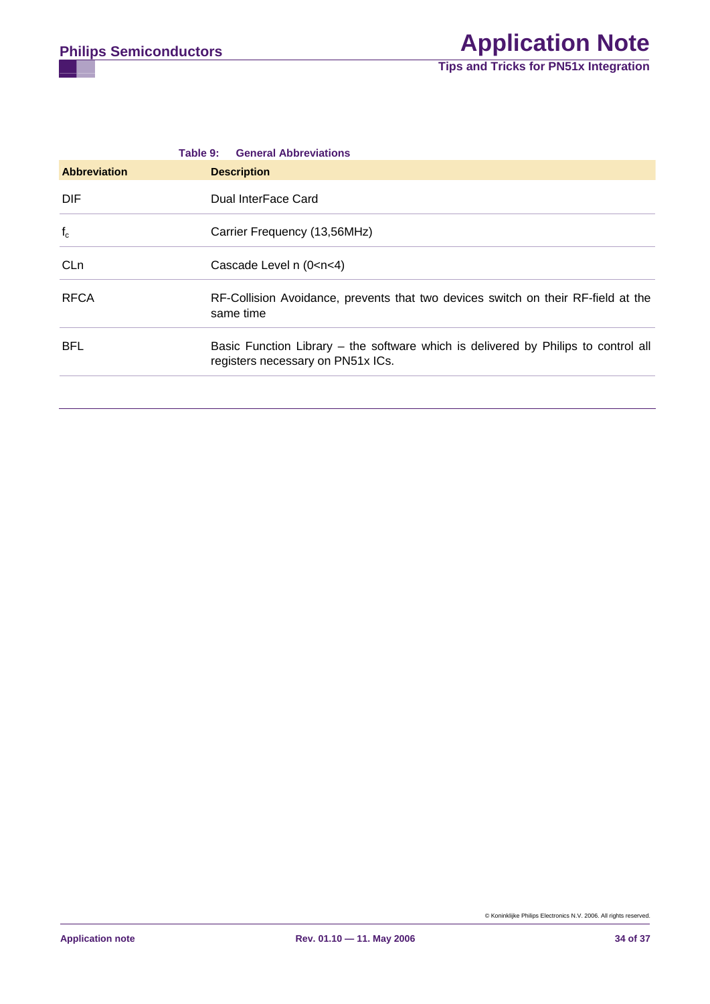|                     | <b>General Abbreviations</b><br>Table 9:                                                                                |
|---------------------|-------------------------------------------------------------------------------------------------------------------------|
| <b>Abbreviation</b> | <b>Description</b>                                                                                                      |
| DIF.                | Dual InterFace Card                                                                                                     |
| $f_c$               | Carrier Frequency (13,56MHz)                                                                                            |
| CL <sub>n</sub>     | Cascade Level $n (0 < n < 4)$                                                                                           |
| <b>RFCA</b>         | RF-Collision Avoidance, prevents that two devices switch on their RF-field at the<br>same time                          |
| <b>BFL</b>          | Basic Function Library – the software which is delivered by Philips to control all<br>registers necessary on PN51x ICs. |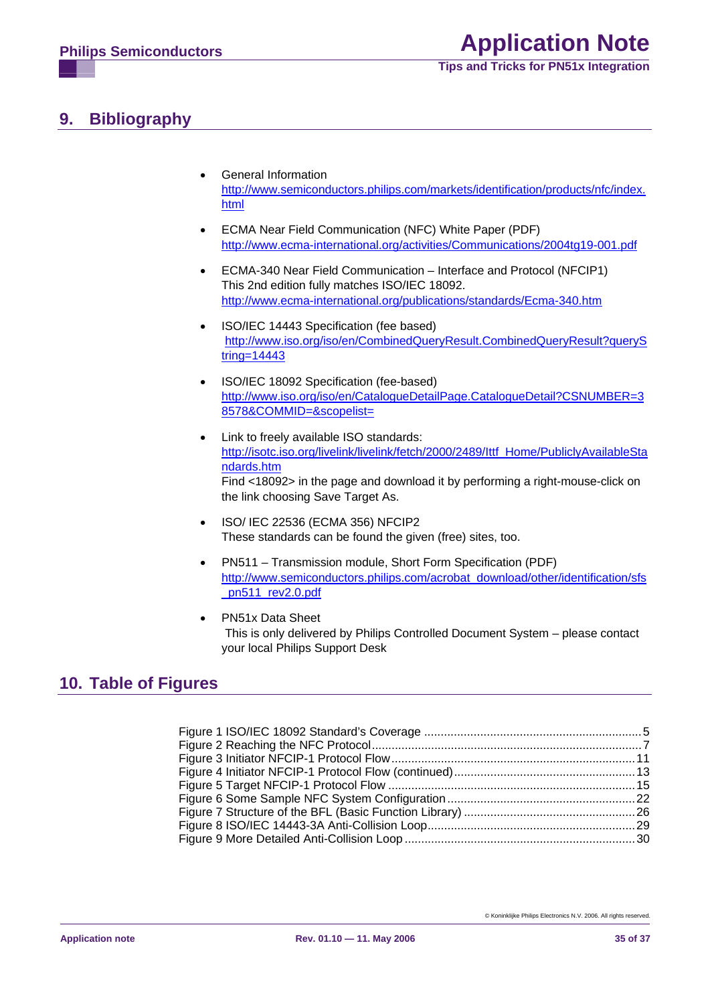**Tips and Tricks for PN51x Integration**

# <span id="page-34-1"></span><span id="page-34-0"></span>**9. Bibliography**

- General Information http://www.semiconductors.philips.com/markets/identification/products/nfc/index. html
- ECMA Near Field Communication (NFC) White Paper (PDF) http://www.ecma-international.org/activities/Communications/2004tg19-001.pdf
- ECMA-340 Near Field Communication Interface and Protocol (NFCIP1) This 2nd edition fully matches ISO/IEC 18092. http://www.ecma-international.org/publications/standards/Ecma-340.htm
- ISO/IEC 14443 Specification (fee based) http://www.iso.org/iso/en/CombinedQueryResult.CombinedQueryResult?queryS tring=14443
- ISO/IEC 18092 Specification (fee-based) http://www.iso.org/iso/en/CatalogueDetailPage.CatalogueDetail?CSNUMBER=3 8578&COMMID=&scopelist=
- Link to freely available ISO standards: http://isotc.iso.org/livelink/livelink/fetch/2000/2489/Ittf\_Home/PubliclyAvailableSta ndards.htm Find <18092> in the page and download it by performing a right-mouse-click on the link choosing Save Target As.
- ISO/ IEC 22536 (ECMA 356) NFCIP2 These standards can be found the given (free) sites, too.
- PN511 Transmission module, Short Form Specification (PDF) http://www.semiconductors.philips.com/acrobat\_download/other/identification/sfs pn511\_rev2.0.pdf
- PN51x Data Sheet This is only delivered by Philips Controlled Document System – please contact your local Philips Support Desk

# **10. Table of Figures**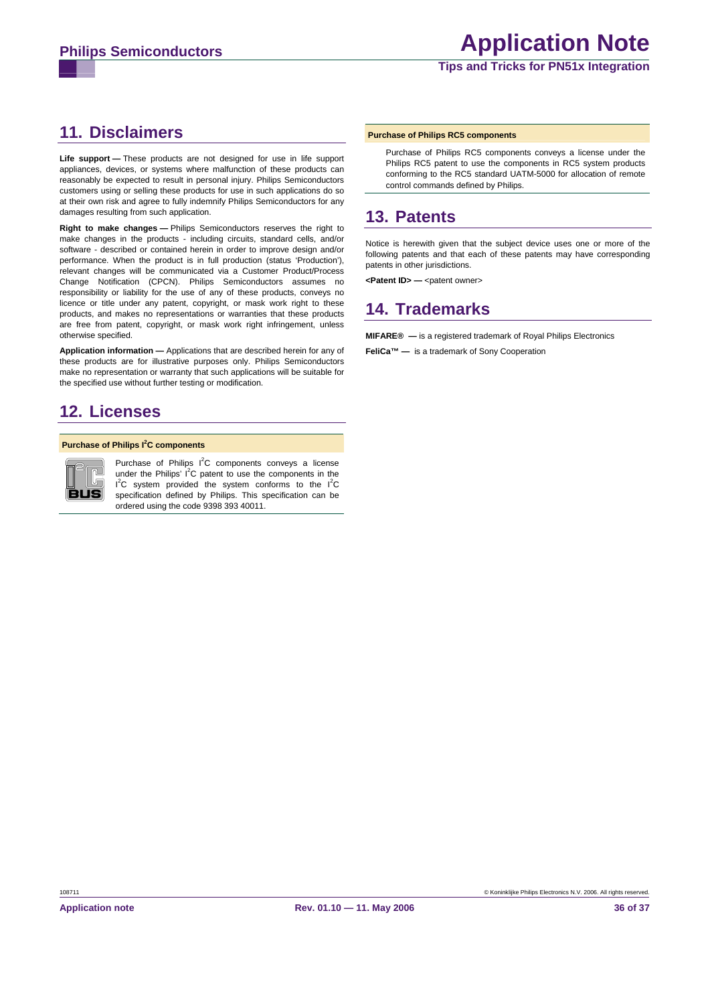# <span id="page-35-0"></span>**11. Disclaimers**

**Life support —** These products are not designed for use in life support appliances, devices, or systems where malfunction of these products can reasonably be expected to result in personal injury. Philips Semiconductors customers using or selling these products for use in such applications do so at their own risk and agree to fully indemnify Philips Semiconductors for any damages resulting from such application.

**Right to make changes —** Philips Semiconductors reserves the right to make changes in the products - including circuits, standard cells, and/or software - described or contained herein in order to improve design and/or performance. When the product is in full production (status 'Production'), relevant changes will be communicated via a Customer Product/Process Change Notification (CPCN). Philips Semiconductors assumes no responsibility or liability for the use of any of these products, conveys no licence or title under any patent, copyright, or mask work right to these products, and makes no representations or warranties that these products are free from patent, copyright, or mask work right infringement, unless otherwise specified.

**Application information —** Applications that are described herein for any of these products are for illustrative purposes only. Philips Semiconductors make no representation or warranty that such applications will be suitable for the specified use without further testing or modification.

# **12. Licenses**

#### **Purchase of Philips I<sup>2</sup>C components**



Purchase of Philips  $I^2C$  components conveys a license under the Philips'  $I^2C$  patent to use the components in the  $I<sup>2</sup>C$  system provided the system conforms to the  $I<sup>2</sup>C$ specification defined by Philips. This specification can be ordered using the code 9398 393 40011.

#### **Purchase of Philips RC5 components**

Purchase of Philips RC5 components conveys a license under the Philips RC5 patent to use the components in RC5 system products conforming to the RC5 standard UATM-5000 for allocation of remote control commands defined by Philips.

# **13. Patents**

Notice is herewith given that the subject device uses one or more of the following patents and that each of these patents may have corresponding patents in other jurisdictions.

<Patent ID> - <patent owner>

# **14. Trademarks**

**MIFARE® —** is a registered trademark of Royal Philips Electronics

**FeliCa™ —** is a trademark of Sony Cooperation